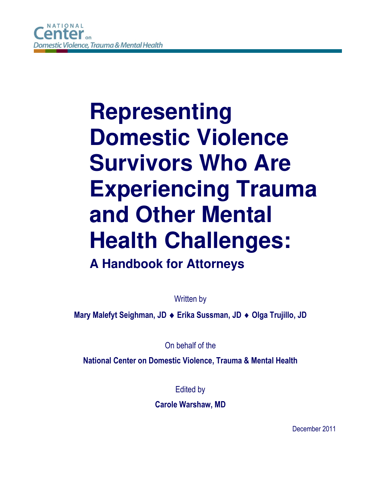# **Representing Domestic Violence Survivors Who Are Experiencing Trauma and Other Mental Health Challenges: A Handbook for Attorneys**

Written by

**Mary Malefyt Seighman, JD Erika Sussman, JD Olga Trujillo, JD** 

On behalf of the

**National Center on Domestic Violence, Trauma & Mental Health**

Edited by

**Carole Warshaw, MD** 

December 2011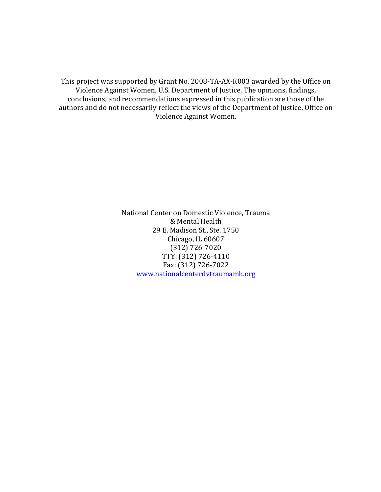This project was supported by Grant No. 2008-TA-AX-K003 awarded by the Office on Violence Against Women, U.S. Department of Justice. The opinions, findings, conclusions, and recommendations expressed in this publication are those of the authors and do not necessarily reflect the views of the Department of Justice, Office on Violence Against Women.

> National Center on Domestic Violence, Trauma & Mental Health 29 E. Madison St., Ste. 1750 Chicago, IL 60607 (312) 726-7020 TTY: (312) 726-4110 Fax: (312) 726-7022 www.nationalcenterdvtraumamh.org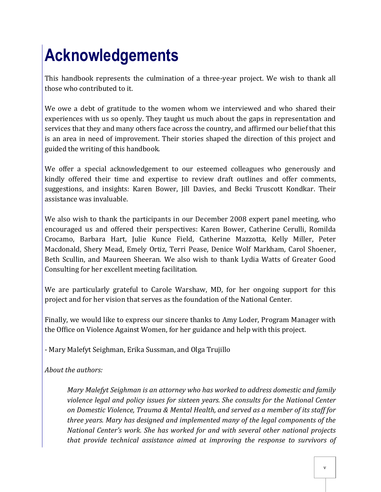## **Acknowledgements**

This handbook represents the culmination of a three-year project. We wish to thank all those who contributed to it.

We owe a debt of gratitude to the women whom we interviewed and who shared their experiences with us so openly. They taught us much about the gaps in representation and services that they and many others face across the country, and affirmed our belief that this is an area in need of improvement. Their stories shaped the direction of this project and guided the writing of this handbook.

We offer a special acknowledgement to our esteemed colleagues who generously and kindly offered their time and expertise to review draft outlines and offer comments, suggestions, and insights: Karen Bower, Jill Davies, and Becki Truscott Kondkar. Their assistance was invaluable.

We also wish to thank the participants in our December 2008 expert panel meeting, who encouraged us and offered their perspectives: Karen Bower, Catherine Cerulli, Romilda Crocamo, Barbara Hart, Julie Kunce Field, Catherine Mazzotta, Kelly Miller, Peter Macdonald, Shery Mead, Emely Ortiz, Terri Pease, Denice Wolf Markham, Carol Shoener, Beth Scullin, and Maureen Sheeran. We also wish to thank Lydia Watts of Greater Good Consulting for her excellent meeting facilitation.

We are particularly grateful to Carole Warshaw, MD, for her ongoing support for this project and for her vision that serves as the foundation of the National Center.

Finally, we would like to express our sincere thanks to Amy Loder, Program Manager with the Office on Violence Against Women, for her guidance and help with this project.

- Mary Malefyt Seighman, Erika Sussman, and Olga Trujillo

*About the authors:* 

*Mary Malefyt Seighman is an attorney who has worked to address domestic and family violence legal and policy issues for sixteen years. She consults for the National Center on Domestic Violence, Trauma & Mental Health, and served as a member of its staff for three years. Mary has designed and implemented many of the legal components of the National Center's work. She has worked for and with several other national projects that provide technical assistance aimed at improving the response to survivors of*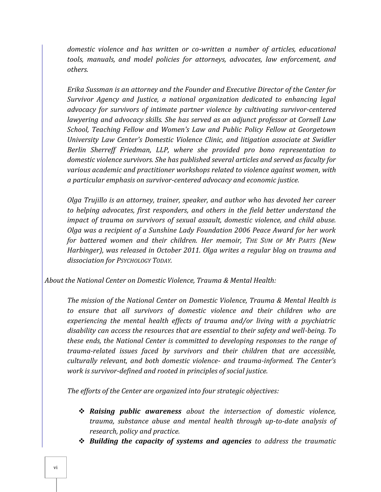*domestic violence and has written or co-written a number of articles, educational tools, manuals, and model policies for attorneys, advocates, law enforcement, and others.* 

*Erika Sussman is an attorney and the Founder and Executive Director of the Center for Survivor Agency and Justice, a national organization dedicated to enhancing legal advocacy for survivors of intimate partner violence by cultivating survivor-centered lawyering and advocacy skills. She has served as an adjunct professor at Cornell Law School, Teaching Fellow and Women's Law and Public Policy Fellow at Georgetown University Law Center's Domestic Violence Clinic, and litigation associate at Swidler Berlin Sherreff Friedman, LLP, where she provided pro bono representation to domestic violence survivors. She has published several articles and served as faculty for various academic and practitioner workshops related to violence against women, with a particular emphasis on survivor-centered advocacy and economic justice.* 

*Olga Trujillo is an attorney, trainer, speaker, and author who has devoted her career to helping advocates, first responders, and others in the field better understand the impact of trauma on survivors of sexual assault, domestic violence, and child abuse. Olga was a recipient of a Sunshine Lady Foundation 2006 Peace Award for her work for battered women and their children. Her memoir, THE SUM OF MY PARTS (New Harbinger), was released in October 2011. Olga writes a regular blog on trauma and dissociation for PSYCHOLOGY TODAY.* 

*About the National Center on Domestic Violence, Trauma & Mental Health:* 

*The mission of the National Center on Domestic Violence, Trauma & Mental Health is to ensure that all survivors of domestic violence and their children who are experiencing the mental health effects of trauma and/or living with a psychiatric disability can access the resources that are essential to their safety and well-being. To these ends, the National Center is committed to developing responses to the range of trauma-related issues faced by survivors and their children that are accessible, culturally relevant, and both domestic violence- and trauma-informed. The Center's work is survivor-defined and rooted in principles of social justice.* 

*The efforts of the Center are organized into four strategic objectives:* 

- *Raising public awareness about the intersection of domestic violence, trauma, substance abuse and mental health through up-to-date analysis of research, policy and practice.*
- *Building the capacity of systems and agencies to address the traumatic*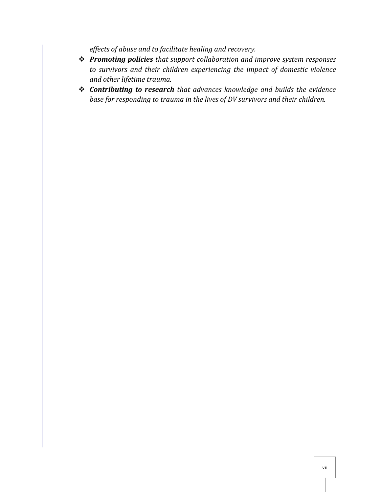*effects of abuse and to facilitate healing and recovery.* 

- *Promoting policies that support collaboration and improve system responses to survivors and their children experiencing the impact of domestic violence and other lifetime trauma.*
- *Contributing to research that advances knowledge and builds the evidence base for responding to trauma in the lives of DV survivors and their children.*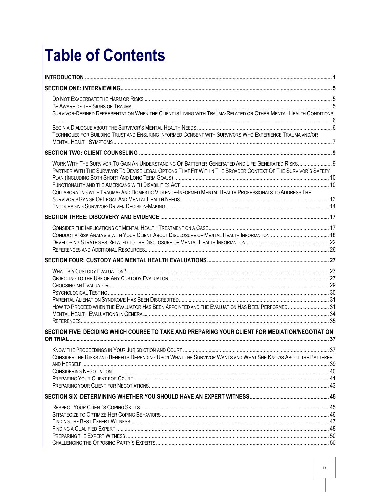## **Table of Contents**

| SURVIVOR-DEFINED REPRESENTATION WHEN THE CLIENT IS LIVING WITH TRAUMA-RELATED OR OTHER MENTAL HEALTH CONDITIONS                                                                                                    |    |
|--------------------------------------------------------------------------------------------------------------------------------------------------------------------------------------------------------------------|----|
|                                                                                                                                                                                                                    |    |
| TECHNIQUES FOR BUILDING TRUST AND ENSURING INFORMED CONSENT WITH SURVIVORS WHO EXPERIENCE TRAUMA AND/OR                                                                                                            |    |
|                                                                                                                                                                                                                    |    |
| WORK WITH THE SURVIVOR TO GAIN AN UNDERSTANDING OF BATTERER-GENERATED AND LIFE-GENERATED RISKS 9<br>PARTNER WITH THE SURVIVOR TO DEVISE LEGAL OPTIONS THAT FIT WITHIN THE BROADER CONTEXT OF THE SURVIVOR'S SAFETY |    |
| COLLABORATING WITH TRAUMA- AND DOMESTIC VIOLENCE-INFORMED MENTAL HEALTH PROFESSIONALS TO ADDRESS THE                                                                                                               |    |
|                                                                                                                                                                                                                    |    |
|                                                                                                                                                                                                                    |    |
|                                                                                                                                                                                                                    |    |
|                                                                                                                                                                                                                    |    |
|                                                                                                                                                                                                                    |    |
|                                                                                                                                                                                                                    |    |
|                                                                                                                                                                                                                    |    |
|                                                                                                                                                                                                                    |    |
|                                                                                                                                                                                                                    |    |
| HOW TO PROCEED WHEN THE EVALUATOR HAS BEEN APPOINTED AND THE EVALUATION HAS BEEN PERFORMED 31                                                                                                                      |    |
|                                                                                                                                                                                                                    |    |
| SECTION FIVE: DECIDING WHICH COURSE TO TAKE AND PREPARING YOUR CLIENT FOR MEDIATION/NEGOTIATION                                                                                                                    |    |
|                                                                                                                                                                                                                    |    |
| CONSIDER THE RISKS AND BENEFITS DEPENDING UPON WHAT THE SURVIVOR WANTS AND WHAT SHE KNOWS ABOUT THE BATTERER                                                                                                       | 37 |
|                                                                                                                                                                                                                    |    |
|                                                                                                                                                                                                                    |    |
|                                                                                                                                                                                                                    |    |
|                                                                                                                                                                                                                    |    |
|                                                                                                                                                                                                                    |    |
|                                                                                                                                                                                                                    |    |
|                                                                                                                                                                                                                    |    |
|                                                                                                                                                                                                                    |    |
|                                                                                                                                                                                                                    |    |
|                                                                                                                                                                                                                    |    |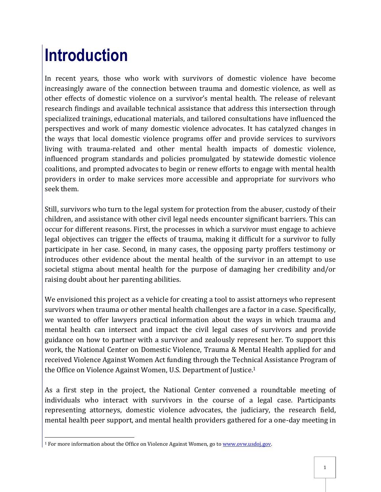## <span id="page-10-0"></span>**Introduction**

In recent years, those who work with survivors of domestic violence have become increasingly aware of the connection between trauma and domestic violence, as well as other effects of domestic violence on a survivor's mental health. The release of relevant research findings and available technical assistance that address this intersection through specialized trainings, educational materials, and tailored consultations have influenced the perspectives and work of many domestic violence advocates. It has catalyzed changes in the ways that local domestic violence programs offer and provide services to survivors living with trauma-related and other mental health impacts of domestic violence, influenced program standards and policies promulgated by statewide domestic violence coalitions, and prompted advocates to begin or renew efforts to engage with mental health providers in order to make services more accessible and appropriate for survivors who seek them.

Still, survivors who turn to the legal system for protection from the abuser, custody of their children, and assistance with other civil legal needs encounter significant barriers. This can occur for different reasons. First, the processes in which a survivor must engage to achieve legal objectives can trigger the effects of trauma, making it difficult for a survivor to fully participate in her case. Second, in many cases, the opposing party proffers testimony or introduces other evidence about the mental health of the survivor in an attempt to use societal stigma about mental health for the purpose of damaging her credibility and/or raising doubt about her parenting abilities.

We envisioned this project as a vehicle for creating a tool to assist attorneys who represent survivors when trauma or other mental health challenges are a factor in a case. Specifically, we wanted to offer lawyers practical information about the ways in which trauma and mental health can intersect and impact the civil legal cases of survivors and provide guidance on how to partner with a survivor and zealously represent her. To support this work, the National Center on Domestic Violence, Trauma & Mental Health applied for and received Violence Against Women Act funding through the Technical Assistance Program of the Office on Violence Against Women, U.S. Department of Justice.<sup>1</sup>

As a first step in the project, the National Center convened a roundtable meeting of individuals who interact with survivors in the course of a legal case. Participants representing attorneys, domestic violence advocates, the judiciary, the research field, mental health peer support, and mental health providers gathered for a one-day meeting in

 $\overline{a}$ <sup>1</sup> For more information about the Office on Violence Against Women, go to www.ovw.usdoj.gov.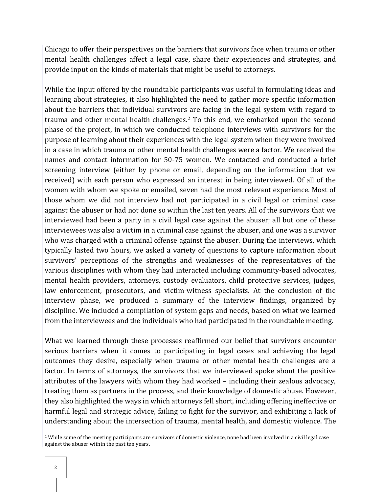Chicago to offer their perspectives on the barriers that survivors face when trauma or other mental health challenges affect a legal case, share their experiences and strategies, and provide input on the kinds of materials that might be useful to attorneys.

While the input offered by the roundtable participants was useful in formulating ideas and learning about strategies, it also highlighted the need to gather more specific information about the barriers that individual survivors are facing in the legal system with regard to trauma and other mental health challenges.2 To this end, we embarked upon the second phase of the project, in which we conducted telephone interviews with survivors for the purpose of learning about their experiences with the legal system when they were involved in a case in which trauma or other mental health challenges were a factor. We received the names and contact information for 50-75 women. We contacted and conducted a brief screening interview (either by phone or email, depending on the information that we received) with each person who expressed an interest in being interviewed. Of all of the women with whom we spoke or emailed, seven had the most relevant experience. Most of those whom we did not interview had not participated in a civil legal or criminal case against the abuser or had not done so within the last ten years. All of the survivors that we interviewed had been a party in a civil legal case against the abuser; all but one of these interviewees was also a victim in a criminal case against the abuser, and one was a survivor who was charged with a criminal offense against the abuser. During the interviews, which typically lasted two hours, we asked a variety of questions to capture information about survivors' perceptions of the strengths and weaknesses of the representatives of the various disciplines with whom they had interacted including community-based advocates, mental health providers, attorneys, custody evaluators, child protective services, judges, law enforcement, prosecutors, and victim-witness specialists. At the conclusion of the interview phase, we produced a summary of the interview findings, organized by discipline. We included a compilation of system gaps and needs, based on what we learned from the interviewees and the individuals who had participated in the roundtable meeting.

What we learned through these processes reaffirmed our belief that survivors encounter serious barriers when it comes to participating in legal cases and achieving the legal outcomes they desire, especially when trauma or other mental health challenges are a factor. In terms of attorneys, the survivors that we interviewed spoke about the positive attributes of the lawyers with whom they had worked – including their zealous advocacy, treating them as partners in the process, and their knowledge of domestic abuse. However, they also highlighted the ways in which attorneys fell short, including offering ineffective or harmful legal and strategic advice, failing to fight for the survivor, and exhibiting a lack of understanding about the intersection of trauma, mental health, and domestic violence. The

 $\overline{a}$ <sup>2</sup> While some of the meeting participants are survivors of domestic violence, none had been involved in a civil legal case against the abuser within the past ten years.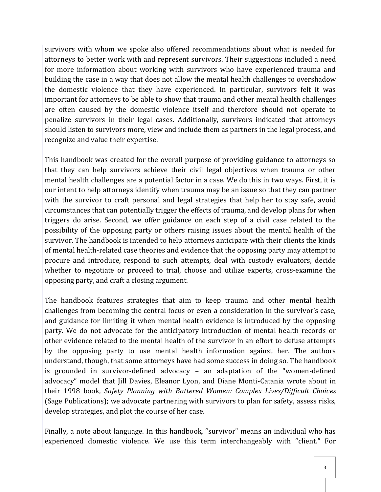survivors with whom we spoke also offered recommendations about what is needed for attorneys to better work with and represent survivors. Their suggestions included a need for more information about working with survivors who have experienced trauma and building the case in a way that does not allow the mental health challenges to overshadow the domestic violence that they have experienced. In particular, survivors felt it was important for attorneys to be able to show that trauma and other mental health challenges are often caused by the domestic violence itself and therefore should not operate to penalize survivors in their legal cases. Additionally, survivors indicated that attorneys should listen to survivors more, view and include them as partners in the legal process, and recognize and value their expertise.

This handbook was created for the overall purpose of providing guidance to attorneys so that they can help survivors achieve their civil legal objectives when trauma or other mental health challenges are a potential factor in a case. We do this in two ways. First, it is our intent to help attorneys identify when trauma may be an issue so that they can partner with the survivor to craft personal and legal strategies that help her to stay safe, avoid circumstances that can potentially trigger the effects of trauma, and develop plans for when triggers do arise. Second, we offer guidance on each step of a civil case related to the possibility of the opposing party or others raising issues about the mental health of the survivor. The handbook is intended to help attorneys anticipate with their clients the kinds of mental health-related case theories and evidence that the opposing party may attempt to procure and introduce, respond to such attempts, deal with custody evaluators, decide whether to negotiate or proceed to trial, choose and utilize experts, cross-examine the opposing party, and craft a closing argument.

The handbook features strategies that aim to keep trauma and other mental health challenges from becoming the central focus or even a consideration in the survivor's case, and guidance for limiting it when mental health evidence is introduced by the opposing party. We do not advocate for the anticipatory introduction of mental health records or other evidence related to the mental health of the survivor in an effort to defuse attempts by the opposing party to use mental health information against her. The authors understand, though, that some attorneys have had some success in doing so. The handbook is grounded in survivor-defined advocacy – an adaptation of the "women-defined advocacy" model that Jill Davies, Eleanor Lyon, and Diane Monti-Catania wrote about in their 1998 book, *Safety Planning with Battered Women: Complex Lives/Difficult Choices* (Sage Publications); we advocate partnering with survivors to plan for safety, assess risks, develop strategies, and plot the course of her case.

Finally, a note about language. In this handbook, "survivor" means an individual who has experienced domestic violence. We use this term interchangeably with "client." For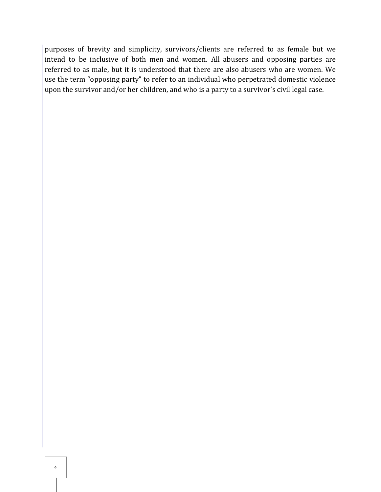purposes of brevity and simplicity, survivors/clients are referred to as female but we intend to be inclusive of both men and women. All abusers and opposing parties are referred to as male, but it is understood that there are also abusers who are women. We use the term "opposing party" to refer to an individual who perpetrated domestic violence upon the survivor and/or her children, and who is a party to a survivor's civil legal case.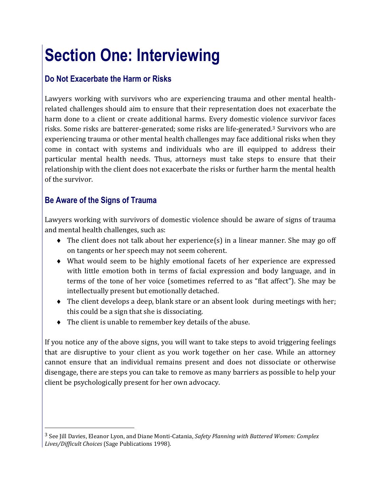## <span id="page-14-0"></span>**Section One: Interviewing**

## <span id="page-14-1"></span>**Do Not Exacerbate the Harm or Risks**

Lawyers working with survivors who are experiencing trauma and other mental healthrelated challenges should aim to ensure that their representation does not exacerbate the harm done to a client or create additional harms. Every domestic violence survivor faces risks. Some risks are batterer-generated; some risks are life-generated.3 Survivors who are experiencing trauma or other mental health challenges may face additional risks when they come in contact with systems and individuals who are ill equipped to address their particular mental health needs. Thus, attorneys must take steps to ensure that their relationship with the client does not exacerbate the risks or further harm the mental health of the survivor.

### <span id="page-14-2"></span>**Be Aware of the Signs of Trauma**

 $\overline{a}$ 

Lawyers working with survivors of domestic violence should be aware of signs of trauma and mental health challenges, such as:

- The client does not talk about her experience(s) in a linear manner. She may go off on tangents or her speech may not seem coherent.
- What would seem to be highly emotional facets of her experience are expressed with little emotion both in terms of facial expression and body language, and in terms of the tone of her voice (sometimes referred to as "flat affect"). She may be intellectually present but emotionally detached.
- The client develops a deep, blank stare or an absent look during meetings with her; this could be a sign that she is dissociating.
- The client is unable to remember key details of the abuse.

If you notice any of the above signs, you will want to take steps to avoid triggering feelings that are disruptive to your client as you work together on her case. While an attorney cannot ensure that an individual remains present and does not dissociate or otherwise disengage, there are steps you can take to remove as many barriers as possible to help your client be psychologically present for her own advocacy.

<sup>3</sup> See Jill Davies, Eleanor Lyon, and Diane Monti-Catania, *Safety Planning with Battered Women: Complex Lives/Difficult Choices* (Sage Publications 1998).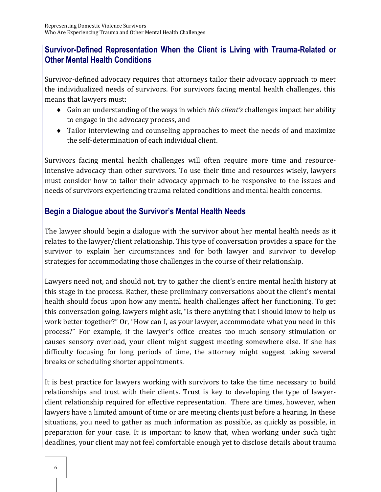## <span id="page-15-0"></span>**Survivor-Defined Representation When the Client is Living with Trauma-Related or Other Mental Health Conditions**

Survivor-defined advocacy requires that attorneys tailor their advocacy approach to meet the individualized needs of survivors. For survivors facing mental health challenges, this means that lawyers must:

- Gain an understanding of the ways in which *this client's* challenges impact her ability to engage in the advocacy process, and
- Tailor interviewing and counseling approaches to meet the needs of and maximize the self-determination of each individual client.

Survivors facing mental health challenges will often require more time and resourceintensive advocacy than other survivors. To use their time and resources wisely, lawyers must consider how to tailor their advocacy approach to be responsive to the issues and needs of survivors experiencing trauma related conditions and mental health concerns.

## <span id="page-15-1"></span>**Begin a Dialogue about the Survivor's Mental Health Needs**

The lawyer should begin a dialogue with the survivor about her mental health needs as it relates to the lawyer/client relationship. This type of conversation provides a space for the survivor to explain her circumstances and for both lawyer and survivor to develop strategies for accommodating those challenges in the course of their relationship.

Lawyers need not, and should not, try to gather the client's entire mental health history at this stage in the process. Rather, these preliminary conversations about the client's mental health should focus upon how any mental health challenges affect her functioning. To get this conversation going, lawyers might ask, "Is there anything that I should know to help us work better together?" Or, "How can I, as your lawyer, accommodate what you need in this process?" For example, if the lawyer's office creates too much sensory stimulation or causes sensory overload, your client might suggest meeting somewhere else. If she has difficulty focusing for long periods of time, the attorney might suggest taking several breaks or scheduling shorter appointments.

It is best practice for lawyers working with survivors to take the time necessary to build relationships and trust with their clients. Trust is key to developing the type of lawyerclient relationship required for effective representation. There are times, however, when lawyers have a limited amount of time or are meeting clients just before a hearing. In these situations, you need to gather as much information as possible, as quickly as possible, in preparation for your case. It is important to know that, when working under such tight deadlines, your client may not feel comfortable enough yet to disclose details about trauma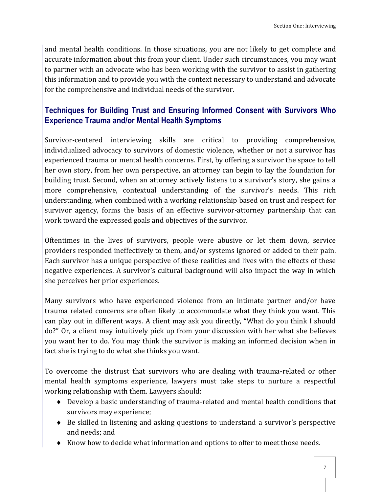and mental health conditions. In those situations, you are not likely to get complete and accurate information about this from your client. Under such circumstances, you may want to partner with an advocate who has been working with the survivor to assist in gathering this information and to provide you with the context necessary to understand and advocate for the comprehensive and individual needs of the survivor.

## <span id="page-16-0"></span>**Techniques for Building Trust and Ensuring Informed Consent with Survivors Who Experience Trauma and/or Mental Health Symptoms**

Survivor-centered interviewing skills are critical to providing comprehensive, individualized advocacy to survivors of domestic violence, whether or not a survivor has experienced trauma or mental health concerns. First, by offering a survivor the space to tell her own story, from her own perspective, an attorney can begin to lay the foundation for building trust. Second, when an attorney actively listens to a survivor's story, she gains a more comprehensive, contextual understanding of the survivor's needs. This rich understanding, when combined with a working relationship based on trust and respect for survivor agency, forms the basis of an effective survivor-attorney partnership that can work toward the expressed goals and objectives of the survivor.

Oftentimes in the lives of survivors, people were abusive or let them down, service providers responded ineffectively to them, and/or systems ignored or added to their pain. Each survivor has a unique perspective of these realities and lives with the effects of these negative experiences. A survivor's cultural background will also impact the way in which she perceives her prior experiences.

Many survivors who have experienced violence from an intimate partner and/or have trauma related concerns are often likely to accommodate what they think you want. This can play out in different ways. A client may ask you directly, "What do you think I should do?" Or, a client may intuitively pick up from your discussion with her what she believes you want her to do. You may think the survivor is making an informed decision when in fact she is trying to do what she thinks you want.

To overcome the distrust that survivors who are dealing with trauma-related or other mental health symptoms experience, lawyers must take steps to nurture a respectful working relationship with them. Lawyers should:

- Develop a basic understanding of trauma-related and mental health conditions that survivors may experience;
- Be skilled in listening and asking questions to understand a survivor's perspective and needs; and
- Know how to decide what information and options to offer to meet those needs.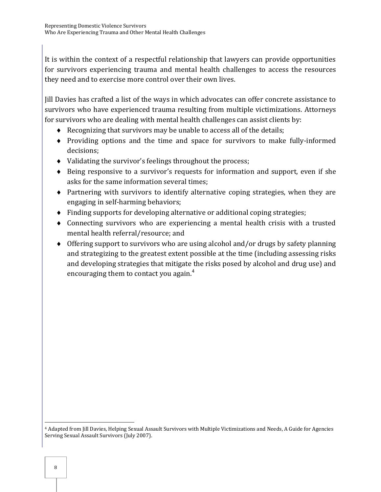It is within the context of a respectful relationship that lawyers can provide opportunities for survivors experiencing trauma and mental health challenges to access the resources they need and to exercise more control over their own lives.

Jill Davies has crafted a list of the ways in which advocates can offer concrete assistance to survivors who have experienced trauma resulting from multiple victimizations. Attorneys for survivors who are dealing with mental health challenges can assist clients by:

- Recognizing that survivors may be unable to access all of the details;
- Providing options and the time and space for survivors to make fully-informed decisions;
- Validating the survivor's feelings throughout the process;
- Being responsive to a survivor's requests for information and support, even if she asks for the same information several times;
- Partnering with survivors to identify alternative coping strategies, when they are engaging in self-harming behaviors;
- Finding supports for developing alternative or additional coping strategies;
- Connecting survivors who are experiencing a mental health crisis with a trusted mental health referral/resource; and
- Offering support to survivors who are using alcohol and/or drugs by safety planning and strategizing to the greatest extent possible at the time (including assessing risks and developing strategies that mitigate the risks posed by alcohol and drug use) and encouraging them to contact you again.<sup>4</sup>

 $\overline{a}$ <sup>4</sup> Adapted from Jill Davies, Helping Sexual Assault Survivors with Multiple Victimizations and Needs, A Guide for Agencies Serving Sexual Assault Survivors (July 2007).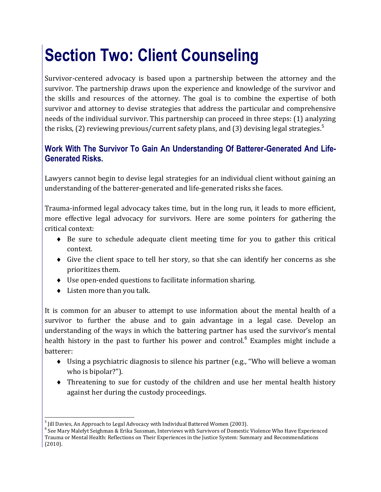## <span id="page-18-0"></span>**Section Two: Client Counseling**

Survivor-centered advocacy is based upon a partnership between the attorney and the survivor. The partnership draws upon the experience and knowledge of the survivor and the skills and resources of the attorney. The goal is to combine the expertise of both survivor and attorney to devise strategies that address the particular and comprehensive needs of the individual survivor. This partnership can proceed in three steps: (1) analyzing the risks, (2) reviewing previous/current safety plans, and (3) devising legal strategies.<sup>5</sup>

## <span id="page-18-1"></span>**Work With The Survivor To Gain An Understanding Of Batterer-Generated And Life-Generated Risks.**

Lawyers cannot begin to devise legal strategies for an individual client without gaining an understanding of the batterer-generated and life-generated risks she faces.

Trauma-informed legal advocacy takes time, but in the long run, it leads to more efficient, more effective legal advocacy for survivors. Here are some pointers for gathering the critical context:

- Be sure to schedule adequate client meeting time for you to gather this critical context.
- Give the client space to tell her story, so that she can identify her concerns as she prioritizes them.
- Use open-ended questions to facilitate information sharing.
- Listen more than you talk.

It is common for an abuser to attempt to use information about the mental health of a survivor to further the abuse and to gain advantage in a legal case. Develop an understanding of the ways in which the battering partner has used the survivor's mental health history in the past to further his power and control.<sup>6</sup> Examples might include a batterer:

- Using a psychiatric diagnosis to silence his partner (e.g., "Who will believe a woman who is bipolar?").
- Threatening to sue for custody of the children and use her mental health history against her during the custody proceedings.

 5 Jill Davies, An Approach to Legal Advocacy with Individual Battered Women (2003).

<sup>&</sup>lt;sup>6</sup> See Mary Malefyt Seighman & Erika Sussman, Interviews with Survivors of Domestic Violence Who Have Experienced Trauma or Mental Health: Reflections on Their Experiences in the Justice System: Summary and Recommendations (2010).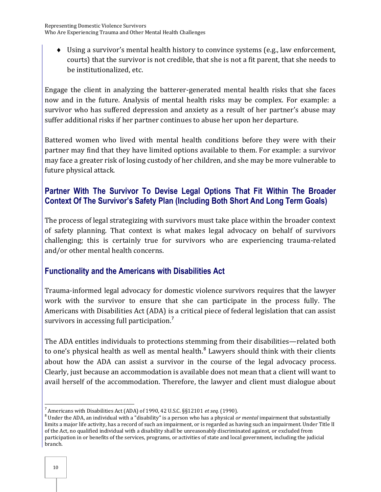Using a survivor's mental health history to convince systems (e.g., law enforcement, courts) that the survivor is not credible, that she is not a fit parent, that she needs to be institutionalized, etc.

Engage the client in analyzing the batterer-generated mental health risks that she faces now and in the future. Analysis of mental health risks may be complex. For example: a survivor who has suffered depression and anxiety as a result of her partner's abuse may suffer additional risks if her partner continues to abuse her upon her departure.

Battered women who lived with mental health conditions before they were with their partner may find that they have limited options available to them. For example: a survivor may face a greater risk of losing custody of her children, and she may be more vulnerable to future physical attack.

## <span id="page-19-0"></span>**Partner With The Survivor To Devise Legal Options That Fit Within The Broader Context Of The Survivor's Safety Plan (Including Both Short And Long Term Goals)**

The process of legal strategizing with survivors must take place within the broader context of safety planning. That context is what makes legal advocacy on behalf of survivors challenging; this is certainly true for survivors who are experiencing trauma-related and/or other mental health concerns.

## <span id="page-19-1"></span>**Functionality and the Americans with Disabilities Act**

Trauma-informed legal advocacy for domestic violence survivors requires that the lawyer work with the survivor to ensure that she can participate in the process fully. The Americans with Disabilities Act (ADA) is a critical piece of federal legislation that can assist survivors in accessing full participation.<sup>7</sup>

The ADA entitles individuals to protections stemming from their disabilities—related both to one's physical health as well as mental health. $^8$  Lawyers should think with their clients about how the ADA can assist a survivor in the course of the legal advocacy process. Clearly, just because an accommodation is available does not mean that a client will want to avail herself of the accommodation. Therefore, the lawyer and client must dialogue about

 $\overline{a}$ 7 Americans with Disabilities Act (ADA) of 1990, 42 U.S.C. §§12101 *et seq.* (1990).

<sup>8</sup> Under the ADA, an individual with a "disability" is a person who has a physical *or mental* impairment that substantially limits a major life activity, has a record of such an impairment, or is regarded as having such an impairment. Under Title II of the Act, no qualified individual with a disability shall be unreasonably discriminated against, or excluded from participation in or benefits of the services, programs, or activities of state and local government, including the judicial branch.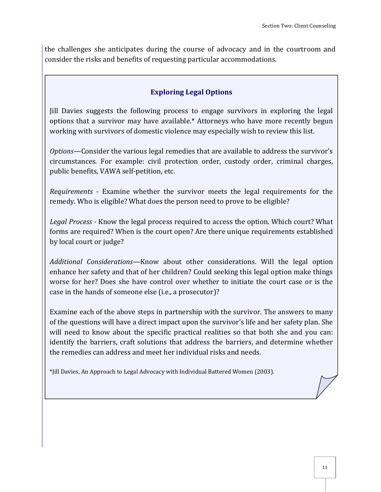the challenges she anticipates during the course of advocacy and in the courtroom and consider the risks and benefits of requesting particular accommodations.

#### **Exploring Legal Options**

Jill Davies suggests the following process to engage survivors in exploring the legal options that a survivor may have available.\* Attorneys who have more recently begun working with survivors of domestic violence may especially wish to review this list.

*Options*—Consider the various legal remedies that are available to address the survivor's circumstances. For example: civil protection order, custody order, criminal charges, public benefits, VAWA self-petition, etc.

*Requirements -* Examine whether the survivor meets the legal requirements for the remedy. Who is eligible? What does the person need to prove to be eligible?

*Legal Process -* Know the legal process required to access the option. Which court? What forms are required? When is the court open? Are there unique requirements established by local court or judge?

*Additional Considerations—*Know about other considerations. Will the legal option enhance her safety and that of her children? Could seeking this legal option make things worse for her? Does she have control over whether to initiate the court case or is the case in the hands of someone else (i.e., a prosecutor)?

Examine each of the above steps in partnership with the survivor. The answers to many of the questions will have a direct impact upon the survivor's life and her safety plan. She will need to know about the specific practical realities so that both she and you can: identify the barriers, craft solutions that address the barriers, and determine whether the remedies can address and meet her individual risks and needs.

\*Jill Davies, An Approach to Legal Advocacy with Individual Battered Women (2003).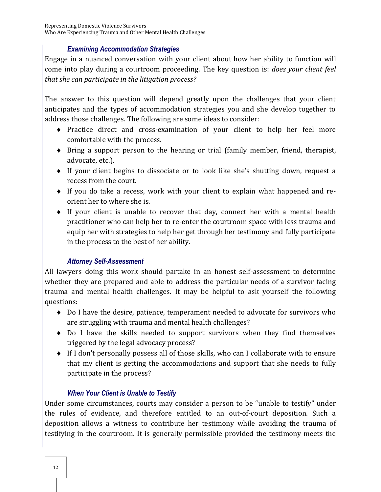#### *Examining Accommodation Strategies*

Engage in a nuanced conversation with your client about how her ability to function will come into play during a courtroom proceeding. The key question is: *does your client feel that she can participate in the litigation process?* 

The answer to this question will depend greatly upon the challenges that your client anticipates and the types of accommodation strategies you and she develop together to address those challenges. The following are some ideas to consider:

- Practice direct and cross-examination of your client to help her feel more comfortable with the process.
- Bring a support person to the hearing or trial (family member, friend, therapist, advocate, etc.).
- If your client begins to dissociate or to look like she's shutting down, request a recess from the court.
- If you do take a recess, work with your client to explain what happened and reorient her to where she is.
- If your client is unable to recover that day, connect her with a mental health practitioner who can help her to re-enter the courtroom space with less trauma and equip her with strategies to help her get through her testimony and fully participate in the process to the best of her ability.

#### *Attorney Self-Assessment*

All lawyers doing this work should partake in an honest self-assessment to determine whether they are prepared and able to address the particular needs of a survivor facing trauma and mental health challenges. It may be helpful to ask yourself the following questions:

- Do I have the desire, patience, temperament needed to advocate for survivors who are struggling with trauma and mental health challenges?
- Do I have the skills needed to support survivors when they find themselves triggered by the legal advocacy process?
- If I don't personally possess all of those skills, who can I collaborate with to ensure that my client is getting the accommodations and support that she needs to fully participate in the process?

#### *When Your Client is Unable to Testify*

Under some circumstances, courts may consider a person to be "unable to testify" under the rules of evidence, and therefore entitled to an out-of-court deposition. Such a deposition allows a witness to contribute her testimony while avoiding the trauma of testifying in the courtroom. It is generally permissible provided the testimony meets the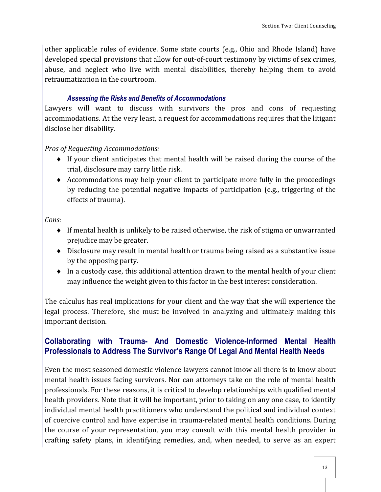other applicable rules of evidence. Some state courts (e.g., Ohio and Rhode Island) have developed special provisions that allow for out-of-court testimony by victims of sex crimes, abuse, and neglect who live with mental disabilities, thereby helping them to avoid retraumatization in the courtroom.

#### *Assessing the Risks and Benefits of Accommodations*

Lawyers will want to discuss with survivors the pros and cons of requesting accommodations. At the very least, a request for accommodations requires that the litigant disclose her disability.

*Pros of Requesting Accommodations:* 

- If your client anticipates that mental health will be raised during the course of the trial, disclosure may carry little risk.
- $\triangle$  Accommodations may help your client to participate more fully in the proceedings by reducing the potential negative impacts of participation (e.g., triggering of the effects of trauma).

*Cons:* 

- If mental health is unlikely to be raised otherwise, the risk of stigma or unwarranted prejudice may be greater.
- Disclosure may result in mental health or trauma being raised as a substantive issue by the opposing party.
- $\bullet$  In a custody case, this additional attention drawn to the mental health of your client may influence the weight given to this factor in the best interest consideration.

The calculus has real implications for your client and the way that she will experience the legal process. Therefore, she must be involved in analyzing and ultimately making this important decision.

## <span id="page-22-0"></span>**Collaborating with Trauma- And Domestic Violence-Informed Mental Health Professionals to Address The Survivor's Range Of Legal And Mental Health Needs**

Even the most seasoned domestic violence lawyers cannot know all there is to know about mental health issues facing survivors. Nor can attorneys take on the role of mental health professionals. For these reasons, it is critical to develop relationships with qualified mental health providers. Note that it will be important, prior to taking on any one case, to identify individual mental health practitioners who understand the political and individual context of coercive control and have expertise in trauma-related mental health conditions. During the course of your representation, you may consult with this mental health provider in crafting safety plans, in identifying remedies, and, when needed, to serve as an expert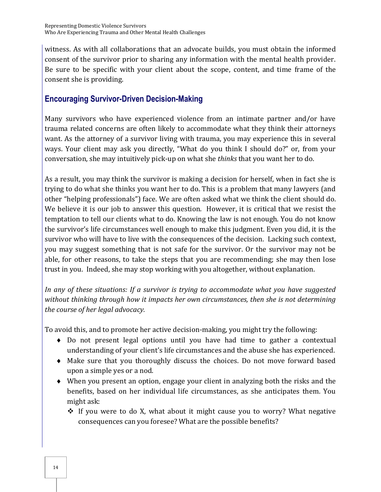witness. As with all collaborations that an advocate builds, you must obtain the informed consent of the survivor prior to sharing any information with the mental health provider. Be sure to be specific with your client about the scope, content, and time frame of the consent she is providing.

## <span id="page-23-0"></span>**Encouraging Survivor-Driven Decision-Making**

Many survivors who have experienced violence from an intimate partner and/or have trauma related concerns are often likely to accommodate what they think their attorneys want. As the attorney of a survivor living with trauma, you may experience this in several ways. Your client may ask you directly, "What do you think I should do?" or, from your conversation, she may intuitively pick-up on what she *thinks* that you want her to do.

As a result, you may think the survivor is making a decision for herself, when in fact she is trying to do what she thinks you want her to do. This is a problem that many lawyers (and other "helping professionals") face. We are often asked what we think the client should do. We believe it is our job to answer this question. However, it is critical that we resist the temptation to tell our clients what to do. Knowing the law is not enough. You do not know the survivor's life circumstances well enough to make this judgment. Even you did, it is the survivor who will have to live with the consequences of the decision. Lacking such context, you may suggest something that is not safe for the survivor. Or the survivor may not be able, for other reasons, to take the steps that you are recommending; she may then lose trust in you. Indeed, she may stop working with you altogether, without explanation.

*In any of these situations: If a survivor is trying to accommodate what you have suggested without thinking through how it impacts her own circumstances, then she is not determining the course of her legal advocacy.* 

To avoid this, and to promote her active decision-making, you might try the following:

- Do not present legal options until you have had time to gather a contextual understanding of your client's life circumstances and the abuse she has experienced.
- Make sure that you thoroughly discuss the choices. Do not move forward based upon a simple yes or a nod.
- When you present an option, engage your client in analyzing both the risks and the benefits, based on her individual life circumstances, as she anticipates them. You might ask:
	- $\cdot$  If you were to do X, what about it might cause you to worry? What negative consequences can you foresee? What are the possible benefits?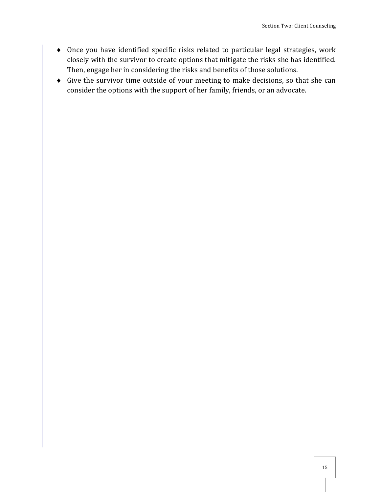- Once you have identified specific risks related to particular legal strategies, work closely with the survivor to create options that mitigate the risks she has identified. Then, engage her in considering the risks and benefits of those solutions.
- Give the survivor time outside of your meeting to make decisions, so that she can consider the options with the support of her family, friends, or an advocate.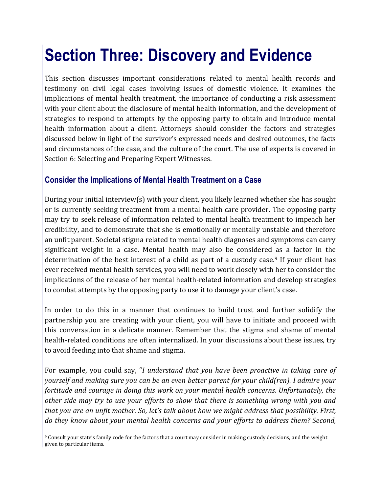## <span id="page-26-0"></span>**Section Three: Discovery and Evidence**

This section discusses important considerations related to mental health records and testimony on civil legal cases involving issues of domestic violence. It examines the implications of mental health treatment, the importance of conducting a risk assessment with your client about the disclosure of mental health information, and the development of strategies to respond to attempts by the opposing party to obtain and introduce mental health information about a client. Attorneys should consider the factors and strategies discussed below in light of the survivor's expressed needs and desired outcomes, the facts and circumstances of the case, and the culture of the court. The use of experts is covered in Section 6: Selecting and Preparing Expert Witnesses.

### <span id="page-26-1"></span>**Consider the Implications of Mental Health Treatment on a Case**

During your initial interview(s) with your client, you likely learned whether she has sought or is currently seeking treatment from a mental health care provider. The opposing party may try to seek release of information related to mental health treatment to impeach her credibility, and to demonstrate that she is emotionally or mentally unstable and therefore an unfit parent. Societal stigma related to mental health diagnoses and symptoms can carry significant weight in a case. Mental health may also be considered as a factor in the determination of the best interest of a child as part of a custody case.<sup>9</sup> If your client has ever received mental health services, you will need to work closely with her to consider the implications of the release of her mental health-related information and develop strategies to combat attempts by the opposing party to use it to damage your client's case.

In order to do this in a manner that continues to build trust and further solidify the partnership you are creating with your client, you will have to initiate and proceed with this conversation in a delicate manner. Remember that the stigma and shame of mental health-related conditions are often internalized. In your discussions about these issues, try to avoid feeding into that shame and stigma.

For example, you could say, "*I understand that you have been proactive in taking care of yourself and making sure you can be an even better parent for your child(ren). I admire your fortitude and courage in doing this work on your mental health concerns. Unfortunately, the other side may try to use your efforts to show that there is something wrong with you and that you are an unfit mother. So, let's talk about how we might address that possibility. First, do they know about your mental health concerns and your efforts to address them? Second,* 

 $\overline{a}$ <sup>9</sup> Consult your state's family code for the factors that a court may consider in making custody decisions, and the weight given to particular items.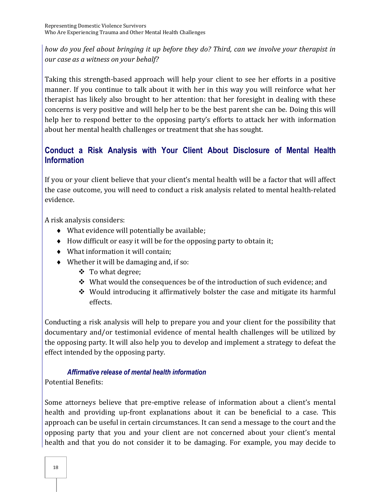*how do you feel about bringing it up before they do? Third, can we involve your therapist in our case as a witness on your behalf?* 

Taking this strength-based approach will help your client to see her efforts in a positive manner. If you continue to talk about it with her in this way you will reinforce what her therapist has likely also brought to her attention: that her foresight in dealing with these concerns is very positive and will help her to be the best parent she can be. Doing this will help her to respond better to the opposing party's efforts to attack her with information about her mental health challenges or treatment that she has sought.

## <span id="page-27-0"></span>**Conduct a Risk Analysis with Your Client About Disclosure of Mental Health Information**

If you or your client believe that your client's mental health will be a factor that will affect the case outcome, you will need to conduct a risk analysis related to mental health-related evidence.

A risk analysis considers:

- What evidence will potentially be available;
- $\bullet$  How difficult or easy it will be for the opposing party to obtain it;
- What information it will contain;
- Whether it will be damaging and, if so:
	- ❖ To what degree;
	- $\div$  What would the consequences be of the introduction of such evidence; and
	- $\div$  Would introducing it affirmatively bolster the case and mitigate its harmful effects.

Conducting a risk analysis will help to prepare you and your client for the possibility that documentary and/or testimonial evidence of mental health challenges will be utilized by the opposing party. It will also help you to develop and implement a strategy to defeat the effect intended by the opposing party.

#### *Affirmative release of mental health information*

Potential Benefits:

Some attorneys believe that pre-emptive release of information about a client's mental health and providing up-front explanations about it can be beneficial to a case. This approach can be useful in certain circumstances. It can send a message to the court and the opposing party that you and your client are not concerned about your client's mental health and that you do not consider it to be damaging. For example, you may decide to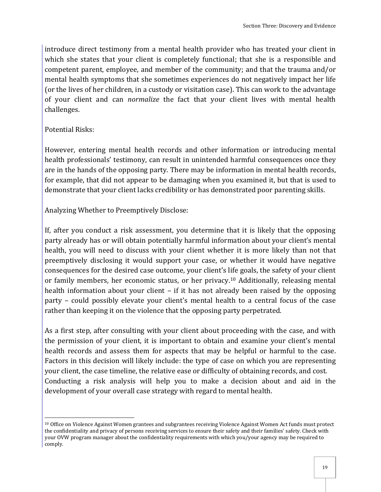introduce direct testimony from a mental health provider who has treated your client in which she states that your client is completely functional; that she is a responsible and competent parent, employee, and member of the community; and that the trauma and/or mental health symptoms that she sometimes experiences do not negatively impact her life (or the lives of her children, in a custody or visitation case). This can work to the advantage of your client and can *normalize* the fact that your client lives with mental health challenges.

Potential Risks:

However, entering mental health records and other information or introducing mental health professionals' testimony, can result in unintended harmful consequences once they are in the hands of the opposing party. There may be information in mental health records, for example, that did not appear to be damaging when you examined it, but that is used to demonstrate that your client lacks credibility or has demonstrated poor parenting skills.

Analyzing Whether to Preemptively Disclose:

If, after you conduct a risk assessment, you determine that it is likely that the opposing party already has or will obtain potentially harmful information about your client's mental health, you will need to discuss with your client whether it is more likely than not that preemptively disclosing it would support your case, or whether it would have negative consequences for the desired case outcome, your client's life goals, the safety of your client or family members, her economic status, or her privacy.10 Additionally, releasing mental health information about your client – if it has not already been raised by the opposing party – could possibly elevate your client's mental health to a central focus of the case rather than keeping it on the violence that the opposing party perpetrated.

As a first step, after consulting with your client about proceeding with the case, and with the permission of your client, it is important to obtain and examine your client's mental health records and assess them for aspects that may be helpful or harmful to the case. Factors in this decision will likely include: the type of case on which you are representing your client, the case timeline, the relative ease or difficulty of obtaining records, and cost. Conducting a risk analysis will help you to make a decision about and aid in the development of your overall case strategy with regard to mental health.

 $\overline{a}$ <sup>10</sup> Office on Violence Against Women grantees and subgrantees receiving Violence Against Women Act funds must protect the confidentiality and privacy of persons receiving services to ensure their safety and their families' safety. Check with your OVW program manager about the confidentiality requirements with which you/your agency may be required to comply.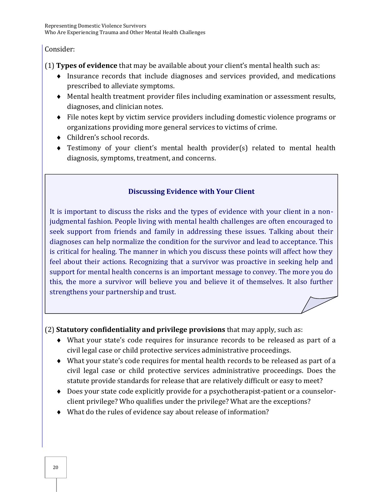#### Consider:

(1) **Types of evidence** that may be available about your client's mental health such as:

- Insurance records that include diagnoses and services provided, and medications prescribed to alleviate symptoms.
- Mental health treatment provider files including examination or assessment results, diagnoses, and clinician notes.
- File notes kept by victim service providers including domestic violence programs or organizations providing more general services to victims of crime.
- Children's school records.
- Testimony of your client's mental health provider(s) related to mental health diagnosis, symptoms, treatment, and concerns.

### **Discussing Evidence with Your Client**

It is important to discuss the risks and the types of evidence with your client in a nonjudgmental fashion. People living with mental health challenges are often encouraged to seek support from friends and family in addressing these issues. Talking about their diagnoses can help normalize the condition for the survivor and lead to acceptance. This is critical for healing. The manner in which you discuss these points will affect how they feel about their actions. Recognizing that a survivor was proactive in seeking help and support for mental health concerns is an important message to convey. The more you do this, the more a survivor will believe you and believe it of themselves. It also further strengthens your partnership and trust.

(2) **Statutory confidentiality and privilege provisions** that may apply, such as:

- What your state's code requires for insurance records to be released as part of a civil legal case or child protective services administrative proceedings.
- What your state's code requires for mental health records to be released as part of a civil legal case or child protective services administrative proceedings. Does the statute provide standards for release that are relatively difficult or easy to meet?
- Does your state code explicitly provide for a psychotherapist-patient or a counselorclient privilege? Who qualifies under the privilege? What are the exceptions?
- What do the rules of evidence say about release of information?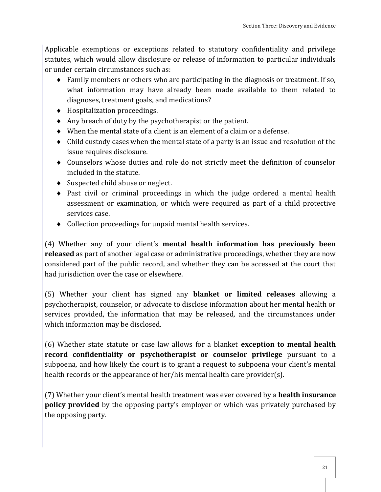Applicable exemptions or exceptions related to statutory confidentiality and privilege statutes, which would allow disclosure or release of information to particular individuals or under certain circumstances such as:

- Family members or others who are participating in the diagnosis or treatment. If so, what information may have already been made available to them related to diagnoses, treatment goals, and medications?
- Hospitalization proceedings.
- $\triangle$  Any breach of duty by the psychotherapist or the patient.
- When the mental state of a client is an element of a claim or a defense.
- Child custody cases when the mental state of a party is an issue and resolution of the issue requires disclosure.
- Counselors whose duties and role do not strictly meet the definition of counselor included in the statute.
- ◆ Suspected child abuse or neglect.
- Past civil or criminal proceedings in which the judge ordered a mental health assessment or examination, or which were required as part of a child protective services case.
- Collection proceedings for unpaid mental health services.

(4) Whether any of your client's **mental health information has previously been released** as part of another legal case or administrative proceedings, whether they are now considered part of the public record, and whether they can be accessed at the court that had jurisdiction over the case or elsewhere.

(5) Whether your client has signed any **blanket or limited releases** allowing a psychotherapist, counselor, or advocate to disclose information about her mental health or services provided, the information that may be released, and the circumstances under which information may be disclosed.

(6) Whether state statute or case law allows for a blanket **exception to mental health record confidentiality or psychotherapist or counselor privilege** pursuant to a subpoena, and how likely the court is to grant a request to subpoena your client's mental health records or the appearance of her/his mental health care provider(s).

(7) Whether your client's mental health treatment was ever covered by a **health insurance policy provided** by the opposing party's employer or which was privately purchased by the opposing party.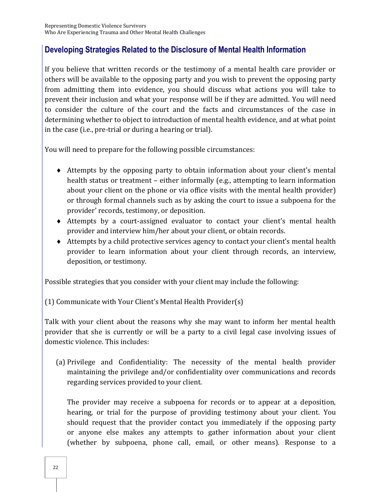## <span id="page-31-0"></span>**Developing Strategies Related to the Disclosure of Mental Health Information**

If you believe that written records or the testimony of a mental health care provider or others will be available to the opposing party and you wish to prevent the opposing party from admitting them into evidence, you should discuss what actions you will take to prevent their inclusion and what your response will be if they are admitted. You will need to consider the culture of the court and the facts and circumstances of the case in determining whether to object to introduction of mental health evidence, and at what point in the case (i.e., pre-trial or during a hearing or trial).

You will need to prepare for the following possible circumstances:

- Attempts by the opposing party to obtain information about your client's mental health status or treatment – either informally (e.g., attempting to learn information about your client on the phone or via office visits with the mental health provider) or through formal channels such as by asking the court to issue a subpoena for the provider' records, testimony, or deposition.
- Attempts by a court-assigned evaluator to contact your client's mental health provider and interview him/her about your client, or obtain records.
- Attempts by a child protective services agency to contact your client's mental health provider to learn information about your client through records, an interview, deposition, or testimony.

Possible strategies that you consider with your client may include the following:

(1) Communicate with Your Client's Mental Health Provider(s)

Talk with your client about the reasons why she may want to inform her mental health provider that she is currently or will be a party to a civil legal case involving issues of domestic violence. This includes:

(a) Privilege and Confidentiality: The necessity of the mental health provider maintaining the privilege and/or confidentiality over communications and records regarding services provided to your client.

 The provider may receive a subpoena for records or to appear at a deposition, hearing, or trial for the purpose of providing testimony about your client. You should request that the provider contact you immediately if the opposing party or anyone else makes any attempts to gather information about your client (whether by subpoena, phone call, email, or other means). Response to a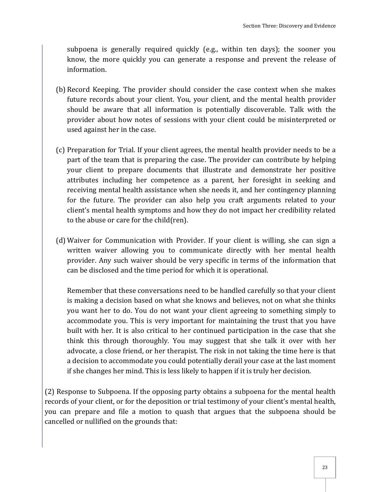subpoena is generally required quickly (e.g., within ten days); the sooner you know, the more quickly you can generate a response and prevent the release of information.

- (b) Record Keeping. The provider should consider the case context when she makes future records about your client. You, your client, and the mental health provider should be aware that all information is potentially discoverable. Talk with the provider about how notes of sessions with your client could be misinterpreted or used against her in the case.
- (c) Preparation for Trial. If your client agrees, the mental health provider needs to be a part of the team that is preparing the case. The provider can contribute by helping your client to prepare documents that illustrate and demonstrate her positive attributes including her competence as a parent, her foresight in seeking and receiving mental health assistance when she needs it, and her contingency planning for the future. The provider can also help you craft arguments related to your client's mental health symptoms and how they do not impact her credibility related to the abuse or care for the child(ren).
- (d) Waiver for Communication with Provider. If your client is willing, she can sign a written waiver allowing you to communicate directly with her mental health provider. Any such waiver should be very specific in terms of the information that can be disclosed and the time period for which it is operational.

Remember that these conversations need to be handled carefully so that your client is making a decision based on what she knows and believes, not on what she thinks you want her to do. You do not want your client agreeing to something simply to accommodate you. This is very important for maintaining the trust that you have built with her. It is also critical to her continued participation in the case that she think this through thoroughly. You may suggest that she talk it over with her advocate, a close friend, or her therapist. The risk in not taking the time here is that a decision to accommodate you could potentially derail your case at the last moment if she changes her mind. This is less likely to happen if it is truly her decision.

(2) Response to Subpoena. If the opposing party obtains a subpoena for the mental health records of your client, or for the deposition or trial testimony of your client's mental health, you can prepare and file a motion to quash that argues that the subpoena should be cancelled or nullified on the grounds that: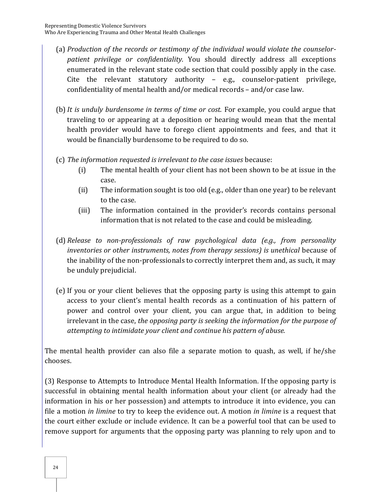- (a) *Production of the records or testimony of the individual would violate the counselorpatient privilege or confidentiality.* You should directly address all exceptions enumerated in the relevant state code section that could possibly apply in the case. Cite the relevant statutory authority – e.g., counselor-patient privilege, confidentiality of mental health and/or medical records – and/or case law.
- (b)*It is unduly burdensome in terms of time or cost.* For example, you could argue that traveling to or appearing at a deposition or hearing would mean that the mental health provider would have to forego client appointments and fees, and that it would be financially burdensome to be required to do so.
- (c) *The information requested is irrelevant to the case issues* because:
	- (i) The mental health of your client has not been shown to be at issue in the case.
	- (ii) The information sought is too old (e.g., older than one year) to be relevant to the case.
	- (iii) The information contained in the provider's records contains personal information that is not related to the case and could be misleading.
- (d) *Release to non-professionals of raw psychological data (e.g., from personality inventories or other instruments, notes from therapy sessions) is unethical* because of the inability of the non-professionals to correctly interpret them and, as such, it may be unduly prejudicial.
- (e) If you or your client believes that the opposing party is using this attempt to gain access to your client's mental health records as a continuation of his pattern of power and control over your client, you can argue that, in addition to being irrelevant in the case, *the opposing party is seeking the information for the purpose of attempting to intimidate your client and continue his pattern of abuse.*

The mental health provider can also file a separate motion to quash, as well, if he/she chooses.

(3) Response to Attempts to Introduce Mental Health Information. If the opposing party is successful in obtaining mental health information about your client (or already had the information in his or her possession) and attempts to introduce it into evidence, you can file a motion *in limine* to try to keep the evidence out. A motion *in limine* is a request that the court either exclude or include evidence. It can be a powerful tool that can be used to remove support for arguments that the opposing party was planning to rely upon and to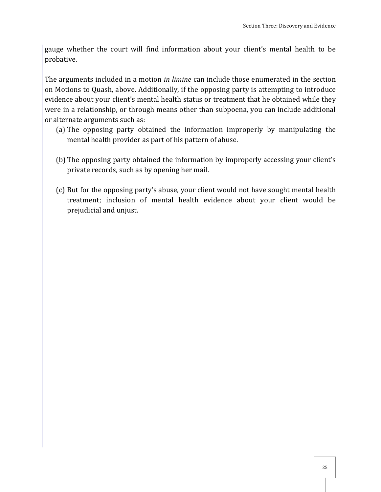gauge whether the court will find information about your client's mental health to be probative.

The arguments included in a motion *in limine* can include those enumerated in the section on Motions to Quash, above. Additionally, if the opposing party is attempting to introduce evidence about your client's mental health status or treatment that he obtained while they were in a relationship, or through means other than subpoena, you can include additional or alternate arguments such as:

- (a) The opposing party obtained the information improperly by manipulating the mental health provider as part of his pattern of abuse.
- (b) The opposing party obtained the information by improperly accessing your client's private records, such as by opening her mail.
- (c) But for the opposing party's abuse, your client would not have sought mental health treatment; inclusion of mental health evidence about your client would be prejudicial and unjust.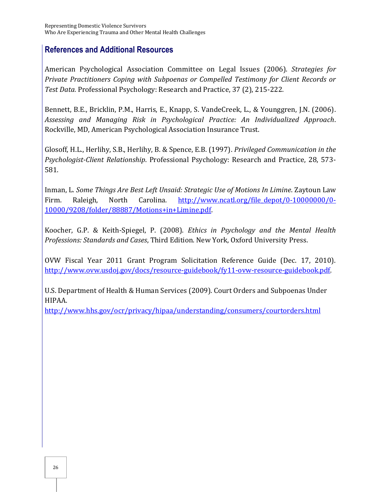### <span id="page-35-0"></span>**References and Additional Resources**

American Psychological Association Committee on Legal Issues (2006). *[Strategies for](http://www.edst.purdue.edu/CD/Psychology/PDF/LegalIssues-2.pdf)  [Private Practitioners Coping with Subpoenas or Compelled Testimony for Client Records or](http://www.edst.purdue.edu/CD/Psychology/PDF/LegalIssues-2.pdf)  Test Data.* [Professional Psychology: Research and Practice,](http://www.edst.purdue.edu/CD/Psychology/PDF/LegalIssues-2.pdf) 37 (2), 215-222.

Bennett, B.E., Bricklin, P.M., Harris, E., Knapp, S. VandeCreek, L., & Younggren, J.N. (2006). *Assessing and Managing Risk in Psychological Practice: An Individualized Approach*. Rockville, MD, American Psychological Association Insurance Trust.

Glosoff, H.L., Herlihy, S.B., Herlihy, B. & Spence, E.B. (1997). *Privileged Communication in the Psychologist-Client Relationship*. Professional Psychology: Research and Practice, 28, 573- 581.

Inman, L. *Some Things Are Best Left Unsaid: Strategic Use of Motions In Limine*. Zaytoun Law Firm. Raleigh, North Carolina. [http://www.ncatl.org/file\\_depot/0-10000000/0-](http://www.ncatl.org/file_depot/0-10000000/0-10000/9208/folder/88887/Motions+in+Limine.pdf) [10000/9208/folder/88887/Motions+in+Limine.pdf.](http://www.ncatl.org/file_depot/0-10000000/0-10000/9208/folder/88887/Motions+in+Limine.pdf)

Koocher, G.P. & Keith-Spiegel, P. (2008). *Ethics in Psychology and the Mental Health Professions: Standards and Cases*, Third Edition. New York, Oxford University Press.

OVW Fiscal Year 2011 Grant Program Solicitation Reference Guide (Dec. 17, 2010). [http://www.ovw.usdoj.gov/docs/resource-guidebook/fy11-ovw-resource-guidebook.pdf.](http://www.ovw.usdoj.gov/docs/resource-guidebook/fy11-ovw-resource-guidebook.pdf)

U.S. Department of Health & Human Services (2009). Court Orders and Subpoenas Under HIPAA.

<http://www.hhs.gov/ocr/privacy/hipaa/understanding/consumers/courtorders.html>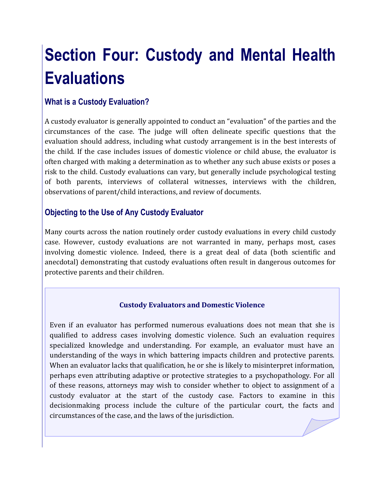# **Section Four: Custody and Mental Health Evaluations**

# **What is a Custody Evaluation?**

A custody evaluator is generally appointed to conduct an "evaluation" of the parties and the circumstances of the case. The judge will often delineate specific questions that the evaluation should address, including what custody arrangement is in the best interests of the child. If the case includes issues of domestic violence or child abuse, the evaluator is often charged with making a determination as to whether any such abuse exists or poses a risk to the child. Custody evaluations can vary, but generally include psychological testing of both parents, interviews of collateral witnesses, interviews with the children, observations of parent/child interactions, and review of documents.

# **Objecting to the Use of Any Custody Evaluator**

Many courts across the nation routinely order custody evaluations in every child custody case. However, custody evaluations are not warranted in many, perhaps most, cases involving domestic violence. Indeed, there is a great deal of data (both scientific and anecdotal) demonstrating that custody evaluations often result in dangerous outcomes for protective parents and their children.

#### **Custody Evaluators and Domestic Violence**

Even if an evaluator has performed numerous evaluations does not mean that she is qualified to address cases involving domestic violence. Such an evaluation requires specialized knowledge and understanding. For example, an evaluator must have an understanding of the ways in which battering impacts children and protective parents. When an evaluator lacks that qualification, he or she is likely to misinterpret information, perhaps even attributing adaptive or protective strategies to a psychopathology. For all of these reasons, attorneys may wish to consider whether to object to assignment of a custody evaluator at the start of the custody case. Factors to examine in this decisionmaking process include the culture of the particular court, the facts and circumstances of the case, and the laws of the jurisdiction.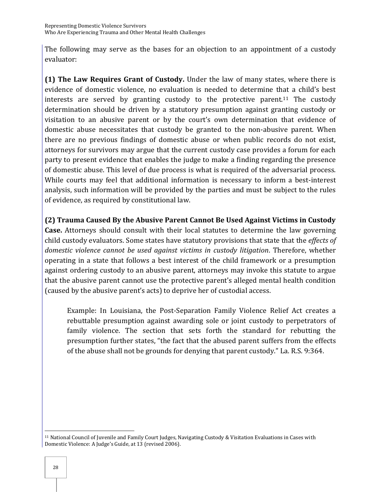The following may serve as the bases for an objection to an appointment of a custody evaluator:

**(1) The Law Requires Grant of Custody.** Under the law of many states, where there is evidence of domestic violence, no evaluation is needed to determine that a child's best interests are served by granting custody to the protective parent.<sup>11</sup> The custody determination should be driven by a statutory presumption against granting custody or visitation to an abusive parent or by the court's own determination that evidence of domestic abuse necessitates that custody be granted to the non-abusive parent. When there are no previous findings of domestic abuse or when public records do not exist, attorneys for survivors may argue that the current custody case provides a forum for each party to present evidence that enables the judge to make a finding regarding the presence of domestic abuse. This level of due process is what is required of the adversarial process. While courts may feel that additional information is necessary to inform a best-interest analysis, such information will be provided by the parties and must be subject to the rules of evidence, as required by constitutional law.

**(2) Trauma Caused By the Abusive Parent Cannot Be Used Against Victims in Custody** 

**Case.** Attorneys should consult with their local statutes to determine the law governing child custody evaluators. Some states have statutory provisions that state that the *effects of domestic violence cannot be used against victims in custody litigation*. Therefore, whether operating in a state that follows a best interest of the child framework or a presumption against ordering custody to an abusive parent, attorneys may invoke this statute to argue that the abusive parent cannot use the protective parent's alleged mental health condition (caused by the abusive parent's acts) to deprive her of custodial access.

Example: In Louisiana, the Post-Separation Family Violence Relief Act creates a rebuttable presumption against awarding sole or joint custody to perpetrators of family violence. The section that sets forth the standard for rebutting the presumption further states, "the fact that the abused parent suffers from the effects of the abuse shall not be grounds for denying that parent custody." La. R.S. 9:364.

 $\overline{a}$ <sup>11</sup> National Council of Juvenile and Family Court Judges, Navigating Custody & Visitation Evaluations in Cases with Domestic Violence: A Judge's Guide, at 13 (revised 2006).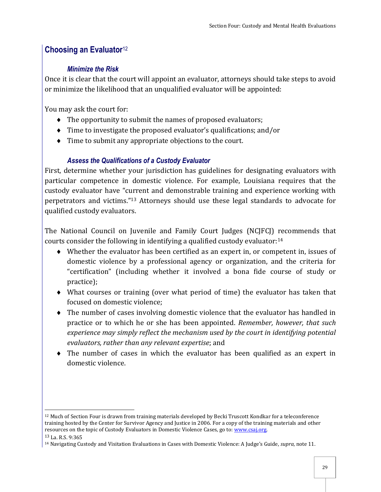# **Choosing an Evaluator**<sup>12</sup>

### *Minimize the Risk*

Once it is clear that the court will appoint an evaluator, attorneys should take steps to avoid or minimize the likelihood that an unqualified evaluator will be appointed:

You may ask the court for:

- $\bullet$  The opportunity to submit the names of proposed evaluators;
- Time to investigate the proposed evaluator's qualifications; and/or
- $\bullet$  Time to submit any appropriate objections to the court.

## *Assess the Qualifications of a Custody Evaluator*

First, determine whether your jurisdiction has guidelines for designating evaluators with particular competence in domestic violence. For example, Louisiana requires that the custody evaluator have "current and demonstrable training and experience working with perpetrators and victims."<sup>13</sup> Attorneys should use these legal standards to advocate for qualified custody evaluators.

The National Council on Juvenile and Family Court Judges (NCJFCJ) recommends that courts consider the following in identifying a qualified custody evaluator:<sup>14</sup>

- Whether the evaluator has been certified as an expert in, or competent in, issues of domestic violence by a professional agency or organization, and the criteria for "certification" (including whether it involved a bona fide course of study or practice);
- What courses or training (over what period of time) the evaluator has taken that focused on domestic violence;
- The number of cases involving domestic violence that the evaluator has handled in practice or to which he or she has been appointed. *Remember, however, that such experience may simply reflect the mechanism used by the court in identifying potential evaluators, rather than any relevant expertise*; and
- The number of cases in which the evaluator has been qualified as an expert in domestic violence.

 $\overline{a}$ <sup>12</sup> Much of Section Four is drawn from training materials developed by Becki Truscott Kondkar for a teleconference training hosted by the Center for Survivor Agency and Justice in 2006. For a copy of the training materials and other resources on the topic of Custody Evaluators in Domestic Violence Cases, go to: www.csaj.org.

<sup>13</sup> La. R.S. 9:365

<sup>14</sup> Navigating Custody and Visitation Evaluations in Cases with Domestic Violence: A Judge's Guide, *supra*, note 11.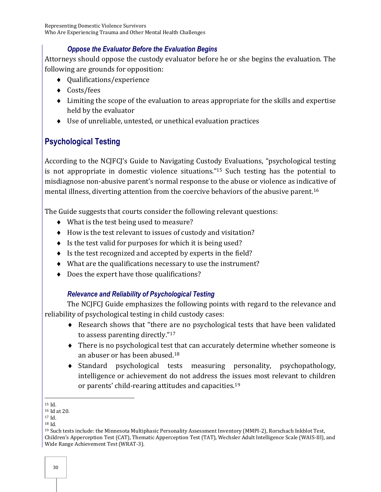### *Oppose the Evaluator Before the Evaluation Begins*

Attorneys should oppose the custody evaluator before he or she begins the evaluation. The following are grounds for opposition:

- Qualifications/experience
- ◆ Costs/fees
- Limiting the scope of the evaluation to areas appropriate for the skills and expertise held by the evaluator
- Use of unreliable, untested, or unethical evaluation practices

# **Psychological Testing**

According to the NCJFCJ's Guide to Navigating Custody Evaluations, "psychological testing is not appropriate in domestic violence situations."<sup>15</sup> Such testing has the potential to misdiagnose non-abusive parent's normal response to the abuse or violence as indicative of mental illness, diverting attention from the coercive behaviors of the abusive parent.<sup>16</sup>

The Guide suggests that courts consider the following relevant questions:

- What is the test being used to measure?
- How is the test relevant to issues of custody and visitation?
- $\bullet$  Is the test valid for purposes for which it is being used?
- $\bullet$  Is the test recognized and accepted by experts in the field?
- What are the qualifications necessary to use the instrument?
- ◆ Does the expert have those qualifications?

## *Relevance and Reliability of Psychological Testing*

The NCJFCJ Guide emphasizes the following points with regard to the relevance and reliability of psychological testing in child custody cases:

- Research shows that "there are no psychological tests that have been validated to assess parenting directly."<sup>17</sup>
- There is no psychological test that can accurately determine whether someone is an abuser or has been abused.<sup>18</sup>
- Standard psychological tests measuring personality, psychopathology, intelligence or achievement do not address the issues most relevant to children or parents' child-rearing attitudes and capacities.<sup>19</sup>

 $\overline{a}$ <sup>15</sup> Id.

<sup>16</sup> Id at 20.

<sup>17</sup> Id.

<sup>18</sup> Id.

<sup>19</sup> Such tests include: the Minnesota Multiphasic Personality Assessment Inventory (MMPI-2), Rorschach Inkblot Test, Children's Apperception Test (CAT), Thematic Apperception Test (TAT), Wechsler Adult Intelligence Scale (WAIS-III), and Wide Range Achievement Test (WRAT-3).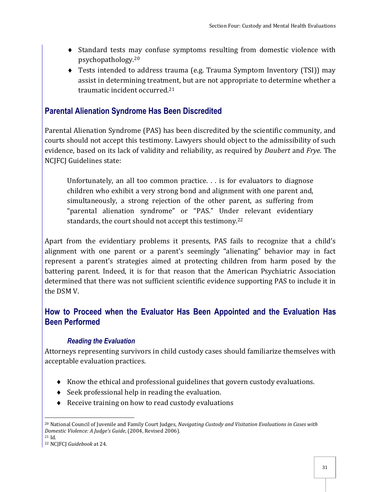- Standard tests may confuse symptoms resulting from domestic violence with psychopathology.<sup>20</sup>
- Tests intended to address trauma (e.g. Trauma Symptom Inventory (TSI)) may assist in determining treatment, but are not appropriate to determine whether a traumatic incident occurred.<sup>21</sup>

## **Parental Alienation Syndrome Has Been Discredited**

Parental Alienation Syndrome (PAS) has been discredited by the scientific community, and courts should not accept this testimony. Lawyers should object to the admissibility of such evidence, based on its lack of validity and reliability, as required by *Daubert* and *Frye*. The NCJFCJ Guidelines state:

Unfortunately, an all too common practice. . . is for evaluators to diagnose children who exhibit a very strong bond and alignment with one parent and, simultaneously, a strong rejection of the other parent, as suffering from "parental alienation syndrome" or "PAS." Under relevant evidentiary standards, the court should not accept this testimony.<sup>22</sup>

Apart from the evidentiary problems it presents, PAS fails to recognize that a child's alignment with one parent or a parent's seemingly "alienating" behavior may in fact represent a parent's strategies aimed at protecting children from harm posed by the battering parent. Indeed, it is for that reason that the American Psychiatric Association determined that there was not sufficient scientific evidence supporting PAS to include it in the DSM V.

## **How to Proceed when the Evaluator Has Been Appointed and the Evaluation Has Been Performed**

#### *Reading the Evaluation*

Attorneys representing survivors in child custody cases should familiarize themselves with acceptable evaluation practices.

- Know the ethical and professional guidelines that govern custody evaluations.
- $\bullet$  Seek professional help in reading the evaluation.
- ◆ Receive training on how to read custody evaluations

 $\overline{a}$ <sup>20</sup> National Council of Juvenile and Family Court Judges, *Navigating Custody and Visitation Evaluations in Cases with Domestic Violence: A Judge's Guide*, (2004, Revised 2006).

<sup>21</sup> Id.

<sup>22</sup> NCJFCJ *Guidebook* at 24.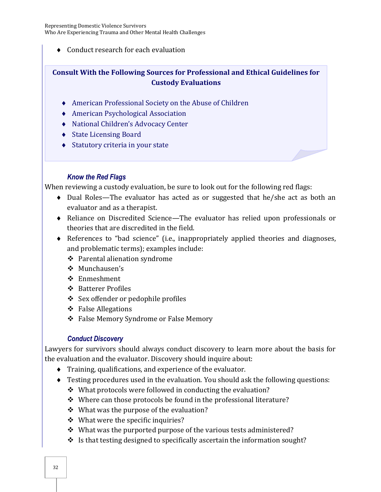Representing Domestic Violence Survivors Who Are Experiencing Trauma and Other Mental Health Challenges

◆ Conduct research for each evaluation

#### **Consult With the Following Sources for Professional and Ethical Guidelines for Custody Evaluations**

- American Professional Society on the Abuse of Children
- American Psychological Association
- National Children's Advocacy Center
- ◆ State Licensing Board
- ◆ Statutory criteria in your state

#### *Know the Red Flags*

When reviewing a custody evaluation, be sure to look out for the following red flags:

- Dual Roles—The evaluator has acted as or suggested that he/she act as both an evaluator and as a therapist.
- Reliance on Discredited Science—The evaluator has relied upon professionals or theories that are discredited in the field.
- References to "bad science" (i.e., inappropriately applied theories and diagnoses, and problematic terms); examples include:
	- Parental alienation syndrome
	- Munchausen's
	- ❖ Enmeshment
	- ❖ Batterer Profiles
	- Sex offender or pedophile profiles
	- ❖ False Allegations
	- ❖ False Memory Syndrome or False Memory

#### *Conduct Discovery*

Lawyers for survivors should always conduct discovery to learn more about the basis for the evaluation and the evaluator. Discovery should inquire about:

- Training, qualifications, and experience of the evaluator.
- Testing procedures used in the evaluation. You should ask the following questions:
	- $\cdot$  What protocols were followed in conducting the evaluation?
	- $\cdot$  Where can those protocols be found in the professional literature?
	- $\div$  What was the purpose of the evaluation?
	- $\div$  What were the specific inquiries?
	- $\cdot$  What was the purported purpose of the various tests administered?
	- $\cdot$  Is that testing designed to specifically ascertain the information sought?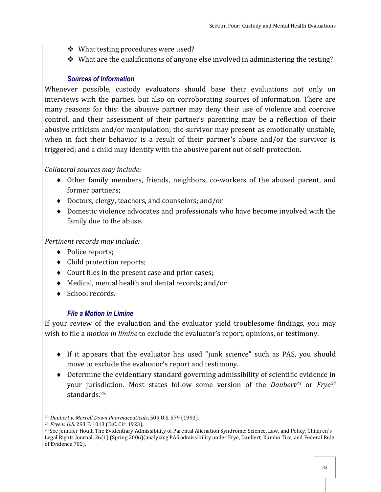- ❖ What testing procedures were used?
- $\cdot$  What are the qualifications of anyone else involved in administering the testing?

#### *Sources of Information*

Whenever possible, custody evaluators should base their evaluations not only on interviews with the parties, but also on corroborating sources of information. There are many reasons for this: the abusive partner may deny their use of violence and coercive control, and their assessment of their partner's parenting may be a reflection of their abusive criticism and/or manipulation; the survivor may present as emotionally unstable, when in fact their behavior is a result of their partner's abuse and/or the survivor is triggered; and a child may identify with the abusive parent out of self-protection.

#### *Collateral sources may include:*

- Other family members, friends, neighbors, co-workers of the abused parent, and former partners;
- Doctors, clergy, teachers, and counselors; and/or
- Domestic violence advocates and professionals who have become involved with the family due to the abuse.

#### *Pertinent records may include:*

- Police reports;
- Child protection reports;
- Court files in the present case and prior cases;
- Medical, mental health and dental records; and/or
- ◆ School records.

#### *File a Motion in Limine*

If your review of the evaluation and the evaluator yield troublesome findings, you may wish to file a *motion in limine* to exclude the evaluator's report, opinions, or testimony.

- If it appears that the evaluator has used "junk science" such as PAS, you should move to exclude the evaluator's report and testimony.
- Determine the evidentiary standard governing admissibility of scientific evidence in your jurisdiction. Most states follow some version of the *Daubert23* or *Frye<sup>24</sup>* standards.<sup>25</sup>

 $\overline{a}$ <sup>23</sup> *Daubert v. Merrell Down Pharmaceuticals*, 509 U.S. 579 (1993).

<sup>24</sup> *Frye v. U.S*. 293 F. 1013 (D.C. Cir. 1923).

<sup>25</sup> See Jennifer Hoult, The Evidentiary Admissibility of Parental Alienation Syndrome: Science, Law, and Policy, Children's Legal Rights Journal, 26(1) (Spring 2006)(analyzing PAS admissibility under Frye, Daubert, Kumho Tire, and Federal Rule of Evidence 702).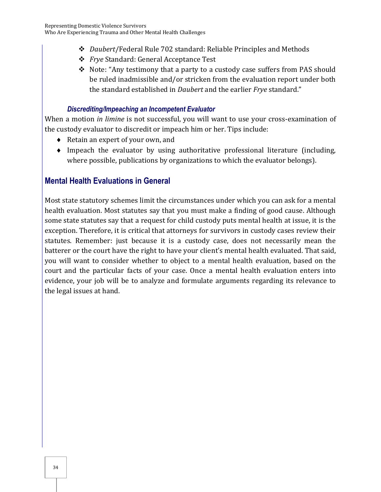- *Daubert*/Federal Rule 702 standard: Reliable Principles and Methods
- *Frye* Standard: General Acceptance Test
- \* Note: "Any testimony that a party to a custody case suffers from PAS should be ruled inadmissible and/or stricken from the evaluation report under both the standard established in *Daubert* and the earlier *Frye* standard."

### *Discrediting/Impeaching an Incompetent Evaluator*

When a motion *in limine* is not successful, you will want to use your cross-examination of the custody evaluator to discredit or impeach him or her. Tips include:

- ◆ Retain an expert of your own, and
- Impeach the evaluator by using authoritative professional literature (including, where possible, publications by organizations to which the evaluator belongs).

# **Mental Health Evaluations in General**

Most state statutory schemes limit the circumstances under which you can ask for a mental health evaluation. Most statutes say that you must make a finding of good cause. Although some state statutes say that a request for child custody puts mental health at issue, it is the exception. Therefore, it is critical that attorneys for survivors in custody cases review their statutes. Remember: just because it is a custody case, does not necessarily mean the batterer or the court have the right to have your client's mental health evaluated. That said, you will want to consider whether to object to a mental health evaluation, based on the court and the particular facts of your case. Once a mental health evaluation enters into evidence, your job will be to analyze and formulate arguments regarding its relevance to the legal issues at hand.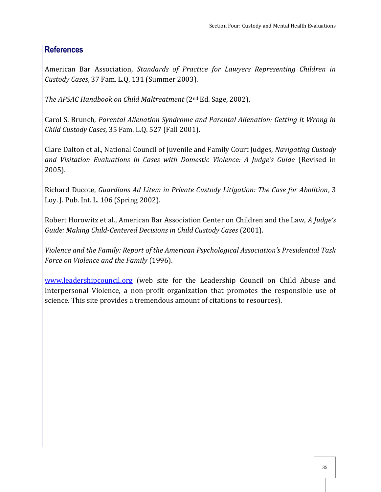## **References**

American Bar Association, *Standards of Practice for Lawyers Representing Children in Custody Cases*, 37 Fam. L.Q. 131 (Summer 2003).

*The APSAC Handbook on Child Maltreatment* (2nd Ed. Sage, 2002).

Carol S. Brunch, *Parental Alienation Syndrome and Parental Alienation: Getting it Wrong in Child Custody Cases*, 35 Fam. L.Q. 527 (Fall 2001).

Clare Dalton et al., National Council of Juvenile and Family Court Judges, *Navigating Custody and Visitation Evaluations in Cases with Domestic Violence: A Judge's Guide* (Revised in 2005).

Richard Ducote, *Guardians Ad Litem in Private Custody Litigation: The Case for Abolition*, 3 Loy. J. Pub. Int. L. 106 (Spring 2002).

Robert Horowitz et al., American Bar Association Center on Children and the Law, *A Judge's Guide: Making Child-Centered Decisions in Child Custody Cases* (2001).

*Violence and the Family: Report of the American Psychological Association's Presidential Task Force on Violence and the Family* (1996).

www.leadershipcouncil.org (web site for the Leadership Council on Child Abuse and Interpersonal Violence, a non-profit organization that promotes the responsible use of science. This site provides a tremendous amount of citations to resources).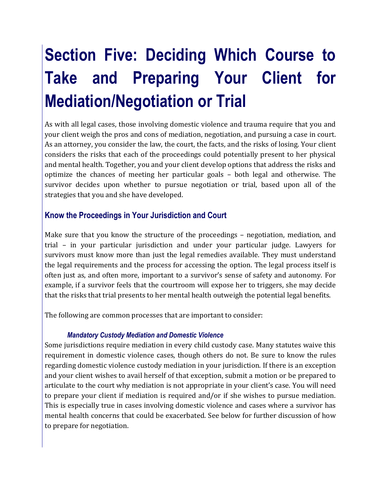# **Section Five: Deciding Which Course to Take and Preparing Your Client for Mediation/Negotiation or Trial**

As with all legal cases, those involving domestic violence and trauma require that you and your client weigh the pros and cons of mediation, negotiation, and pursuing a case in court. As an attorney, you consider the law, the court, the facts, and the risks of losing. Your client considers the risks that each of the proceedings could potentially present to her physical and mental health. Together, you and your client develop options that address the risks and optimize the chances of meeting her particular goals – both legal and otherwise. The survivor decides upon whether to pursue negotiation or trial, based upon all of the strategies that you and she have developed.

## **Know the Proceedings in Your Jurisdiction and Court**

Make sure that you know the structure of the proceedings – negotiation, mediation, and trial – in your particular jurisdiction and under your particular judge. Lawyers for survivors must know more than just the legal remedies available. They must understand the legal requirements and the process for accessing the option. The legal process itself is often just as, and often more, important to a survivor's sense of safety and autonomy. For example, if a survivor feels that the courtroom will expose her to triggers, she may decide that the risks that trial presents to her mental health outweigh the potential legal benefits.

The following are common processes that are important to consider:

#### *Mandatory Custody Mediation and Domestic Violence*

Some jurisdictions require mediation in every child custody case. Many statutes waive this requirement in domestic violence cases, though others do not. Be sure to know the rules regarding domestic violence custody mediation in your jurisdiction. If there is an exception and your client wishes to avail herself of that exception, submit a motion or be prepared to articulate to the court why mediation is not appropriate in your client's case. You will need to prepare your client if mediation is required and/or if she wishes to pursue mediation. This is especially true in cases involving domestic violence and cases where a survivor has mental health concerns that could be exacerbated. See below for further discussion of how to prepare for negotiation.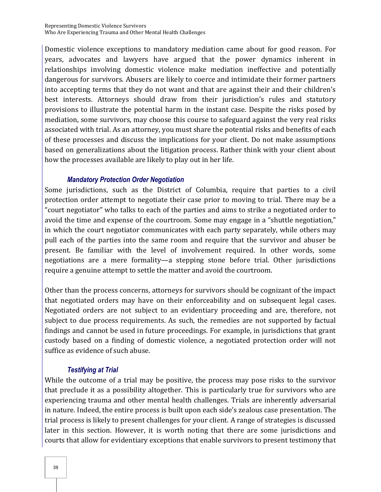Domestic violence exceptions to mandatory mediation came about for good reason. For years, advocates and lawyers have argued that the power dynamics inherent in relationships involving domestic violence make mediation ineffective and potentially dangerous for survivors. Abusers are likely to coerce and intimidate their former partners into accepting terms that they do not want and that are against their and their children's best interests. Attorneys should draw from their jurisdiction's rules and statutory provisions to illustrate the potential harm in the instant case. Despite the risks posed by mediation, some survivors, may choose this course to safeguard against the very real risks associated with trial. As an attorney, you must share the potential risks and benefits of each of these processes and discuss the implications for your client. Do not make assumptions based on generalizations about the litigation process. Rather think with your client about how the processes available are likely to play out in her life.

#### *Mandatory Protection Order Negotiation*

Some jurisdictions, such as the District of Columbia, require that parties to a civil protection order attempt to negotiate their case prior to moving to trial. There may be a "court negotiator" who talks to each of the parties and aims to strike a negotiated order to avoid the time and expense of the courtroom. Some may engage in a "shuttle negotiation," in which the court negotiator communicates with each party separately, while others may pull each of the parties into the same room and require that the survivor and abuser be present. Be familiar with the level of involvement required. In other words, some negotiations are a mere formality—a stepping stone before trial. Other jurisdictions require a genuine attempt to settle the matter and avoid the courtroom.

Other than the process concerns, attorneys for survivors should be cognizant of the impact that negotiated orders may have on their enforceability and on subsequent legal cases. Negotiated orders are not subject to an evidentiary proceeding and are, therefore, not subject to due process requirements. As such, the remedies are not supported by factual findings and cannot be used in future proceedings. For example, in jurisdictions that grant custody based on a finding of domestic violence, a negotiated protection order will not suffice as evidence of such abuse.

#### *Testifying at Trial*

While the outcome of a trial may be positive, the process may pose risks to the survivor that preclude it as a possibility altogether. This is particularly true for survivors who are experiencing trauma and other mental health challenges. Trials are inherently adversarial in nature. Indeed, the entire process is built upon each side's zealous case presentation. The trial process is likely to present challenges for your client. A range of strategies is discussed later in this section. However, it is worth noting that there are some jurisdictions and courts that allow for evidentiary exceptions that enable survivors to present testimony that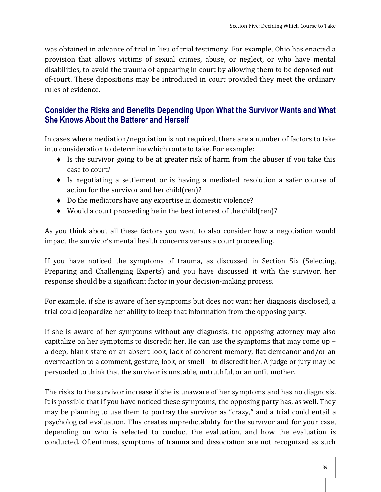was obtained in advance of trial in lieu of trial testimony. For example, Ohio has enacted a provision that allows victims of sexual crimes, abuse, or neglect, or who have mental disabilities, to avoid the trauma of appearing in court by allowing them to be deposed outof-court. These depositions may be introduced in court provided they meet the ordinary rules of evidence.

## **Consider the Risks and Benefits Depending Upon What the Survivor Wants and What She Knows About the Batterer and Herself**

In cases where mediation/negotiation is not required, there are a number of factors to take into consideration to determine which route to take. For example:

- $\bullet$  Is the survivor going to be at greater risk of harm from the abuser if you take this case to court?
- Is negotiating a settlement or is having a mediated resolution a safer course of action for the survivor and her child(ren)?
- Do the mediators have any expertise in domestic violence?
- Would a court proceeding be in the best interest of the child(ren)?

As you think about all these factors you want to also consider how a negotiation would impact the survivor's mental health concerns versus a court proceeding.

If you have noticed the symptoms of trauma, as discussed in Section Six (Selecting, Preparing and Challenging Experts) and you have discussed it with the survivor, her response should be a significant factor in your decision-making process.

For example, if she is aware of her symptoms but does not want her diagnosis disclosed, a trial could jeopardize her ability to keep that information from the opposing party.

If she is aware of her symptoms without any diagnosis, the opposing attorney may also capitalize on her symptoms to discredit her. He can use the symptoms that may come up – a deep, blank stare or an absent look, lack of coherent memory, flat demeanor and/or an overreaction to a comment, gesture, look, or smell – to discredit her. A judge or jury may be persuaded to think that the survivor is unstable, untruthful, or an unfit mother.

The risks to the survivor increase if she is unaware of her symptoms and has no diagnosis. It is possible that if you have noticed these symptoms, the opposing party has, as well. They may be planning to use them to portray the survivor as "crazy," and a trial could entail a psychological evaluation. This creates unpredictability for the survivor and for your case, depending on who is selected to conduct the evaluation, and how the evaluation is conducted. Oftentimes, symptoms of trauma and dissociation are not recognized as such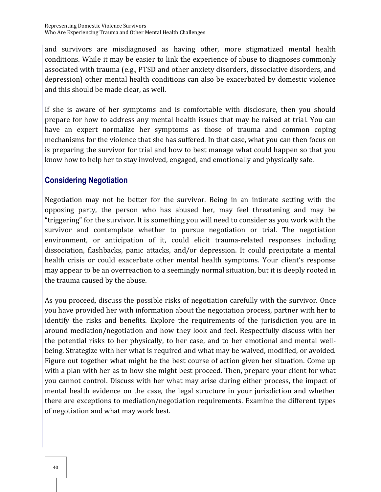and survivors are misdiagnosed as having other, more stigmatized mental health conditions. While it may be easier to link the experience of abuse to diagnoses commonly associated with trauma (e.g., PTSD and other anxiety disorders, dissociative disorders, and depression) other mental health conditions can also be exacerbated by domestic violence and this should be made clear, as well.

If she is aware of her symptoms and is comfortable with disclosure, then you should prepare for how to address any mental health issues that may be raised at trial. You can have an expert normalize her symptoms as those of trauma and common coping mechanisms for the violence that she has suffered. In that case, what you can then focus on is preparing the survivor for trial and how to best manage what could happen so that you know how to help her to stay involved, engaged, and emotionally and physically safe.

# **Considering Negotiation**

Negotiation may not be better for the survivor. Being in an intimate setting with the opposing party, the person who has abused her, may feel threatening and may be "triggering" for the survivor. It is something you will need to consider as you work with the survivor and contemplate whether to pursue negotiation or trial. The negotiation environment, or anticipation of it, could elicit trauma-related responses including dissociation, flashbacks, panic attacks, and/or depression. It could precipitate a mental health crisis or could exacerbate other mental health symptoms. Your client's response may appear to be an overreaction to a seemingly normal situation, but it is deeply rooted in the trauma caused by the abuse.

As you proceed, discuss the possible risks of negotiation carefully with the survivor. Once you have provided her with information about the negotiation process, partner with her to identify the risks and benefits. Explore the requirements of the jurisdiction you are in around mediation/negotiation and how they look and feel. Respectfully discuss with her the potential risks to her physically, to her case, and to her emotional and mental wellbeing. Strategize with her what is required and what may be waived, modified, or avoided. Figure out together what might be the best course of action given her situation. Come up with a plan with her as to how she might best proceed. Then, prepare your client for what you cannot control. Discuss with her what may arise during either process, the impact of mental health evidence on the case, the legal structure in your jurisdiction and whether there are exceptions to mediation/negotiation requirements. Examine the different types of negotiation and what may work best.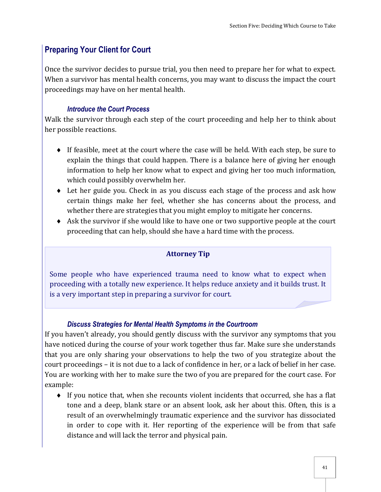# **Preparing Your Client for Court**

Once the survivor decides to pursue trial, you then need to prepare her for what to expect. When a survivor has mental health concerns, you may want to discuss the impact the court proceedings may have on her mental health.

#### *Introduce the Court Process*

Walk the survivor through each step of the court proceeding and help her to think about her possible reactions.

- If feasible, meet at the court where the case will be held. With each step, be sure to explain the things that could happen. There is a balance here of giving her enough information to help her know what to expect and giving her too much information, which could possibly overwhelm her.
- Let her guide you. Check in as you discuss each stage of the process and ask how certain things make her feel, whether she has concerns about the process, and whether there are strategies that you might employ to mitigate her concerns.
- Ask the survivor if she would like to have one or two supportive people at the court proceeding that can help, should she have a hard time with the process.

#### **Attorney Tip**

Some people who have experienced trauma need to know what to expect when proceeding with a totally new experience. It helps reduce anxiety and it builds trust. It is a very important step in preparing a survivor for court.

#### *Discuss Strategies for Mental Health Symptoms in the Courtroom*

If you haven't already, you should gently discuss with the survivor any symptoms that you have noticed during the course of your work together thus far. Make sure she understands that you are only sharing your observations to help the two of you strategize about the court proceedings – it is not due to a lack of confidence in her, or a lack of belief in her case. You are working with her to make sure the two of you are prepared for the court case. For example:

 $\bullet$  If you notice that, when she recounts violent incidents that occurred, she has a flat tone and a deep, blank stare or an absent look, ask her about this. Often, this is a result of an overwhelmingly traumatic experience and the survivor has dissociated in order to cope with it. Her reporting of the experience will be from that safe distance and will lack the terror and physical pain.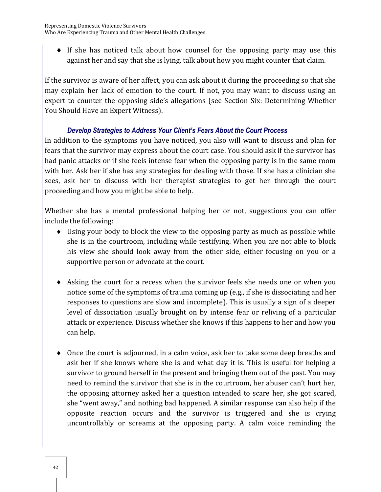$\bullet$  If she has noticed talk about how counsel for the opposing party may use this against her and say that she is lying, talk about how you might counter that claim.

If the survivor is aware of her affect, you can ask about it during the proceeding so that she may explain her lack of emotion to the court. If not, you may want to discuss using an expert to counter the opposing side's allegations (see Section Six: Determining Whether You Should Have an Expert Witness).

#### *Develop Strategies to Address Your Client's Fears About the Court Process*

In addition to the symptoms you have noticed, you also will want to discuss and plan for fears that the survivor may express about the court case. You should ask if the survivor has had panic attacks or if she feels intense fear when the opposing party is in the same room with her. Ask her if she has any strategies for dealing with those. If she has a clinician she sees, ask her to discuss with her therapist strategies to get her through the court proceeding and how you might be able to help.

Whether she has a mental professional helping her or not, suggestions you can offer include the following:

- Using your body to block the view to the opposing party as much as possible while she is in the courtroom, including while testifying. When you are not able to block his view she should look away from the other side, either focusing on you or a supportive person or advocate at the court.
- Asking the court for a recess when the survivor feels she needs one or when you notice some of the symptoms of trauma coming up (e.g., if she is dissociating and her responses to questions are slow and incomplete). This is usually a sign of a deeper level of dissociation usually brought on by intense fear or reliving of a particular attack or experience. Discuss whether she knows if this happens to her and how you can help.
- Once the court is adjourned, in a calm voice, ask her to take some deep breaths and ask her if she knows where she is and what day it is. This is useful for helping a survivor to ground herself in the present and bringing them out of the past. You may need to remind the survivor that she is in the courtroom, her abuser can't hurt her, the opposing attorney asked her a question intended to scare her, she got scared, she "went away," and nothing bad happened. A similar response can also help if the opposite reaction occurs and the survivor is triggered and she is crying uncontrollably or screams at the opposing party. A calm voice reminding the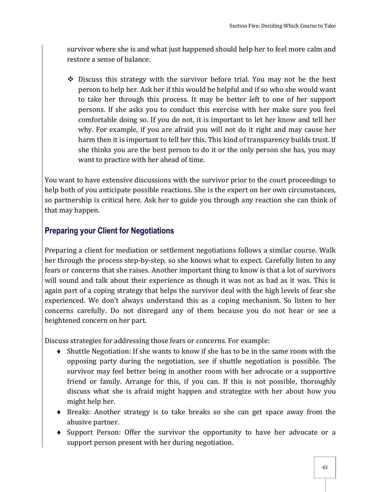survivor where she is and what just happened should help her to feel more calm and restore a sense of balance.

 Discuss this strategy with the survivor before trial. You may not be the best person to help her. Ask her if this would be helpful and if so who she would want to take her through this process. It may be better left to one of her support persons. If she asks you to conduct this exercise with her make sure you feel comfortable doing so. If you do not, it is important to let her know and tell her why. For example, if you are afraid you will not do it right and may cause her harm then it is important to tell her this. This kind of transparency builds trust. If she thinks you are the best person to do it or the only person she has, you may want to practice with her ahead of time.

You want to have extensive discussions with the survivor prior to the court proceedings to help both of you anticipate possible reactions. She is the expert on her own circumstances, so partnership is critical here. Ask her to guide you through any reaction she can think of that may happen.

# **Preparing your Client for Negotiations**

Preparing a client for mediation or settlement negotiations follows a similar course. Walk her through the process step-by-step, so she knows what to expect. Carefully listen to any fears or concerns that she raises. Another important thing to know is that a lot of survivors will sound and talk about their experience as though it was not as bad as it was. This is again part of a coping strategy that helps the survivor deal with the high levels of fear she experienced. We don't always understand this as a coping mechanism. So listen to her concerns carefully. Do not disregard any of them because you do not hear or see a heightened concern on her part.

Discuss strategies for addressing those fears or concerns. For example:

- Shuttle Negotiation: If she wants to know if she has to be in the same room with the opposing party during the negotiation, see if shuttle negotiation is possible. The survivor may feel better being in another room with her advocate or a supportive friend or family. Arrange for this, if you can. If this is not possible, thoroughly discuss what she is afraid might happen and strategize with her about how you might help her.
- Breaks: Another strategy is to take breaks so she can get space away from the abusive partner.
- Support Person: Offer the survivor the opportunity to have her advocate or a support person present with her during negotiation.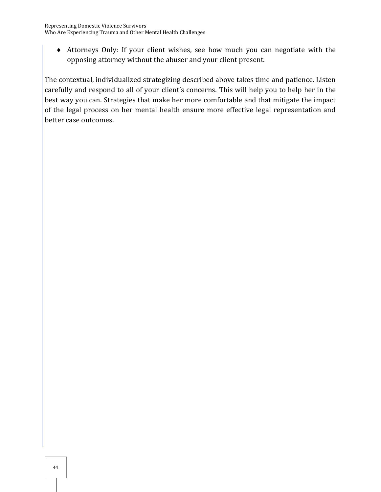Attorneys Only: If your client wishes, see how much you can negotiate with the opposing attorney without the abuser and your client present.

The contextual, individualized strategizing described above takes time and patience. Listen carefully and respond to all of your client's concerns. This will help you to help her in the best way you can. Strategies that make her more comfortable and that mitigate the impact of the legal process on her mental health ensure more effective legal representation and better case outcomes.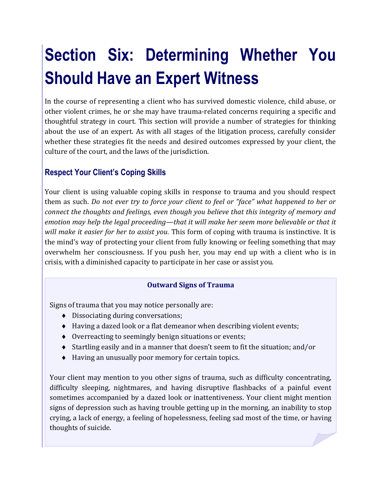# **Section Six: Determining Whether You Should Have an Expert Witness**

In the course of representing a client who has survived domestic violence, child abuse, or other violent crimes, he or she may have trauma-related concerns requiring a specific and thoughtful strategy in court. This section will provide a number of strategies for thinking about the use of an expert. As with all stages of the litigation process, carefully consider whether these strategies fit the needs and desired outcomes expressed by your client, the culture of the court, and the laws of the jurisdiction.

# **Respect Your Client's Coping Skills**

Your client is using valuable coping skills in response to trauma and you should respect them as such. *Do not ever try to force your client to feel or "face" what happened to her or connect the thoughts and feelings, even though you believe that this integrity of memory and emotion may help the legal proceeding—that it will make her seem more believable or that it will make it easier for her to assist you.* This form of coping with trauma is instinctive. It is the mind's way of protecting your client from fully knowing or feeling something that may overwhelm her consciousness. If you push her, you may end up with a client who is in crisis, with a diminished capacity to participate in her case or assist you.

## **Outward Signs of Trauma**

Signs of trauma that you may notice personally are:

- $\bullet$  Dissociating during conversations;
- Having a dazed look or a flat demeanor when describing violent events;
- $\bullet$  Overreacting to seemingly benign situations or events;
- Startling easily and in a manner that doesn't seem to fit the situation; and/or
- Having an unusually poor memory for certain topics.

Your client may mention to you other signs of trauma, such as difficulty concentrating, difficulty sleeping, nightmares, and having disruptive flashbacks of a painful event sometimes accompanied by a dazed look or inattentiveness. Your client might mention signs of depression such as having trouble getting up in the morning, an inability to stop crying, a lack of energy, a feeling of hopelessness, feeling sad most of the time, or having thoughts of suicide.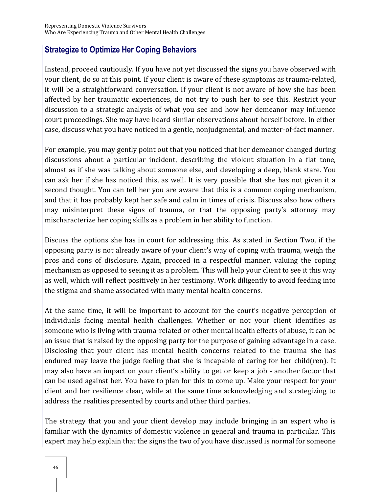## **Strategize to Optimize Her Coping Behaviors**

Instead, proceed cautiously. If you have not yet discussed the signs you have observed with your client, do so at this point. If your client is aware of these symptoms as trauma-related, it will be a straightforward conversation. If your client is not aware of how she has been affected by her traumatic experiences, do not try to push her to see this. Restrict your discussion to a strategic analysis of what you see and how her demeanor may influence court proceedings. She may have heard similar observations about herself before. In either case, discuss what you have noticed in a gentle, nonjudgmental, and matter-of-fact manner.

For example, you may gently point out that you noticed that her demeanor changed during discussions about a particular incident, describing the violent situation in a flat tone, almost as if she was talking about someone else, and developing a deep, blank stare. You can ask her if she has noticed this, as well. It is very possible that she has not given it a second thought. You can tell her you are aware that this is a common coping mechanism, and that it has probably kept her safe and calm in times of crisis. Discuss also how others may misinterpret these signs of trauma, or that the opposing party's attorney may mischaracterize her coping skills as a problem in her ability to function.

Discuss the options she has in court for addressing this. As stated in Section Two, if the opposing party is not already aware of your client's way of coping with trauma, weigh the pros and cons of disclosure. Again, proceed in a respectful manner, valuing the coping mechanism as opposed to seeing it as a problem. This will help your client to see it this way as well, which will reflect positively in her testimony. Work diligently to avoid feeding into the stigma and shame associated with many mental health concerns.

At the same time, it will be important to account for the court's negative perception of individuals facing mental health challenges. Whether or not your client identifies as someone who is living with trauma-related or other mental health effects of abuse, it can be an issue that is raised by the opposing party for the purpose of gaining advantage in a case. Disclosing that your client has mental health concerns related to the trauma she has endured may leave the judge feeling that she is incapable of caring for her child(ren). It may also have an impact on your client's ability to get or keep a job - another factor that can be used against her. You have to plan for this to come up. Make your respect for your client and her resilience clear, while at the same time acknowledging and strategizing to address the realities presented by courts and other third parties.

The strategy that you and your client develop may include bringing in an expert who is familiar with the dynamics of domestic violence in general and trauma in particular. This expert may help explain that the signs the two of you have discussed is normal for someone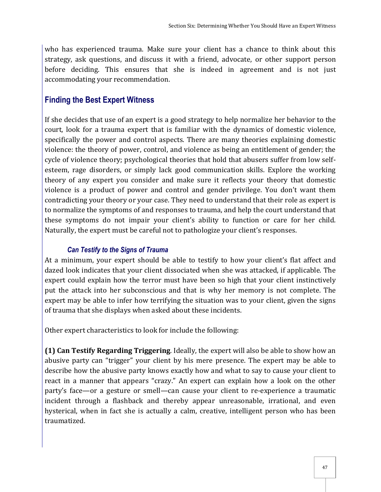who has experienced trauma. Make sure your client has a chance to think about this strategy, ask questions, and discuss it with a friend, advocate, or other support person before deciding. This ensures that she is indeed in agreement and is not just accommodating your recommendation.

## **Finding the Best Expert Witness**

If she decides that use of an expert is a good strategy to help normalize her behavior to the court, look for a trauma expert that is familiar with the dynamics of domestic violence, specifically the power and control aspects. There are many theories explaining domestic violence: the theory of power, control, and violence as being an entitlement of gender; the cycle of violence theory; psychological theories that hold that abusers suffer from low selfesteem, rage disorders, or simply lack good communication skills. Explore the working theory of any expert you consider and make sure it reflects your theory that domestic violence is a product of power and control and gender privilege. You don't want them contradicting your theory or your case. They need to understand that their role as expert is to normalize the symptoms of and responses to trauma, and help the court understand that these symptoms do not impair your client's ability to function or care for her child. Naturally, the expert must be careful not to pathologize your client's responses.

#### *Can Testify to the Signs of Trauma*

At a minimum, your expert should be able to testify to how your client's flat affect and dazed look indicates that your client dissociated when she was attacked, if applicable. The expert could explain how the terror must have been so high that your client instinctively put the attack into her subconscious and that is why her memory is not complete. The expert may be able to infer how terrifying the situation was to your client, given the signs of trauma that she displays when asked about these incidents.

Other expert characteristics to look for include the following:

**(1) Can Testify Regarding Triggering**. Ideally, the expert will also be able to show how an abusive party can "trigger" your client by his mere presence. The expert may be able to describe how the abusive party knows exactly how and what to say to cause your client to react in a manner that appears "crazy." An expert can explain how a look on the other party's face—or a gesture or smell—can cause your client to re-experience a traumatic incident through a flashback and thereby appear unreasonable, irrational, and even hysterical, when in fact she is actually a calm, creative, intelligent person who has been traumatized.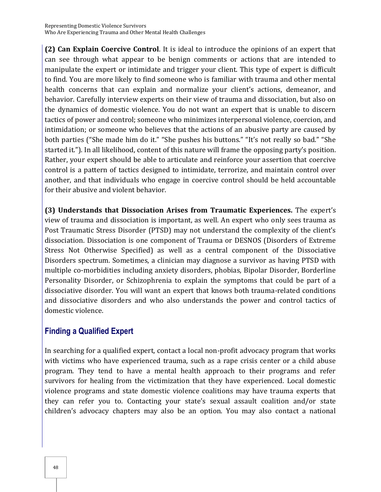**(2) Can Explain Coercive Control**. It is ideal to introduce the opinions of an expert that can see through what appear to be benign comments or actions that are intended to manipulate the expert or intimidate and trigger your client. This type of expert is difficult to find. You are more likely to find someone who is familiar with trauma and other mental health concerns that can explain and normalize your client's actions, demeanor, and behavior. Carefully interview experts on their view of trauma and dissociation, but also on the dynamics of domestic violence. You do not want an expert that is unable to discern tactics of power and control; someone who minimizes interpersonal violence, coercion, and intimidation; or someone who believes that the actions of an abusive party are caused by both parties ("She made him do it." "She pushes his buttons." "It's not really so bad." "She started it."). In all likelihood, content of this nature will frame the opposing party's position. Rather, your expert should be able to articulate and reinforce your assertion that coercive control is a pattern of tactics designed to intimidate, terrorize, and maintain control over another, and that individuals who engage in coercive control should be held accountable for their abusive and violent behavior.

**(3) Understands that Dissociation Arises from Traumatic Experiences.** The expert's view of trauma and dissociation is important, as well. An expert who only sees trauma as Post Traumatic Stress Disorder (PTSD) may not understand the complexity of the client's dissociation. Dissociation is one component of Trauma or DESNOS (Disorders of Extreme Stress Not Otherwise Specified) as well as a central component of the Dissociative Disorders spectrum. Sometimes, a clinician may diagnose a survivor as having PTSD with multiple co-morbidities including anxiety disorders, phobias, Bipolar Disorder, Borderline Personality Disorder, or Schizophrenia to explain the symptoms that could be part of a dissociative disorder. You will want an expert that knows both trauma-related conditions and dissociative disorders and who also understands the power and control tactics of domestic violence.

## **Finding a Qualified Expert**

In searching for a qualified expert, contact a local non-profit advocacy program that works with victims who have experienced trauma, such as a rape crisis center or a child abuse program. They tend to have a mental health approach to their programs and refer survivors for healing from the victimization that they have experienced. Local domestic violence programs and state domestic violence coalitions may have trauma experts that they can refer you to. Contacting your state's sexual assault coalition and/or state children's advocacy chapters may also be an option. You may also contact a national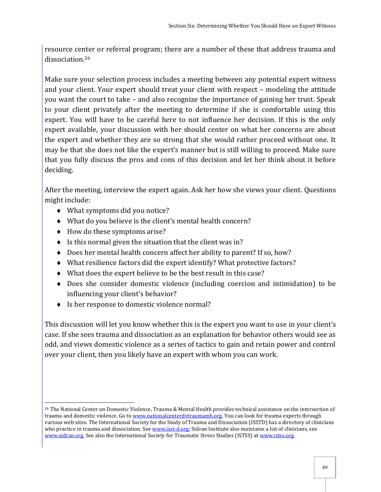resource center or referral program; there are a number of these that address trauma and dissociation.<sup>26</sup>

Make sure your selection process includes a meeting between any potential expert witness and your client. Your expert should treat your client with respect – modeling the attitude you want the court to take – and also recognize the importance of gaining her trust. Speak to your client privately after the meeting to determine if she is comfortable using this expert. You will have to be careful here to not influence her decision. If this is the only expert available, your discussion with her should center on what her concerns are about the expert and whether they are so strong that she would rather proceed without one. It may be that she does not like the expert's manner but is still willing to proceed. Make sure that you fully discuss the pros and cons of this decision and let her think about it before deciding.

After the meeting, interview the expert again. Ask her how she views your client. Questions might include:

- What symptoms did you notice?
- What do you believe is the client's mental health concern?
- $\triangleleft$  How do these symptoms arise?
- $\bullet$  Is this normal given the situation that the client was in?
- ◆ Does her mental health concern affect her ability to parent? If so, how?
- What resilience factors did the expert identify? What protective factors?
- What does the expert believe to be the best result in this case?
- Does she consider domestic violence (including coercion and intimidation) to be influencing your client's behavior?
- ◆ Is her response to domestic violence normal?

This discussion will let you know whether this is the expert you want to use in your client's case. If she sees trauma and dissociation as an explanation for behavior others would see as odd, and views domestic violence as a series of tactics to gain and retain power and control over your client, then you likely have an expert with whom you can work.

 $\overline{a}$ <sup>26</sup> The National Center on Domestic Violence, Trauma & Mental Health provides technical assistance on the intersection of trauma and domestic violence. Go t[o www.nationalcenterdvtraumamh.org.](http://www.nationalcenterdvtraumamh.org/) You can look for trauma experts through various web sites. The International Society for the Study of Trauma and Dissociation (ISSTD) has a directory of clinicians who practice in trauma and dissociation. See [www.isst-d.org;](http://www.isstd.org/) Sidran Institute also maintains a list of clinicians, see [www.sidran.org.](http://www.sidran.org/) See also the International Society for Traumatic Stress Studies (ISTSS) at [www.istss.org.](http://www.istss.org/)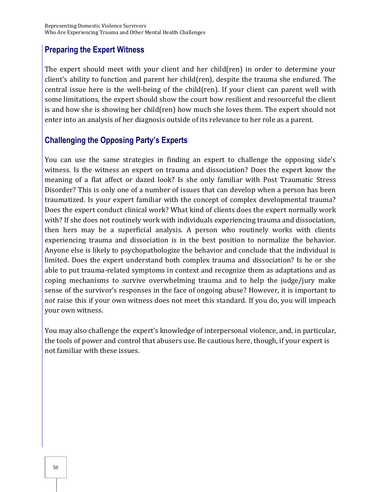## **Preparing the Expert Witness**

The expert should meet with your client and her child(ren) in order to determine your client's ability to function and parent her child(ren), despite the trauma she endured. The central issue here is the well-being of the child(ren). If your client can parent well with some limitations, the expert should show the court how resilient and resourceful the client is and how she is showing her child(ren) how much she loves them. The expert should not enter into an analysis of her diagnosis outside of its relevance to her role as a parent.

# **Challenging the Opposing Party's Experts**

You can use the same strategies in finding an expert to challenge the opposing side's witness. Is the witness an expert on trauma and dissociation? Does the expert know the meaning of a flat affect or dazed look? Is she only familiar with Post Traumatic Stress Disorder? This is only one of a number of issues that can develop when a person has been traumatized. Is your expert familiar with the concept of complex developmental trauma? Does the expert conduct clinical work? What kind of clients does the expert normally work with? If she does not routinely work with individuals experiencing trauma and dissociation, then hers may be a superficial analysis. A person who routinely works with clients experiencing trauma and dissociation is in the best position to normalize the behavior. Anyone else is likely to psychopathologize the behavior and conclude that the individual is limited. Does the expert understand both complex trauma and dissociation? Is he or she able to put trauma-related symptoms in context and recognize them as adaptations and as coping mechanisms to survive overwhelming trauma and to help the judge/jury make sense of the survivor's responses in the face of ongoing abuse? However, it is important to *not* raise this if your own witness does not meet this standard. If you do, you will impeach your own witness.

You may also challenge the expert's knowledge of interpersonal violence, and, in particular, the tools of power and control that abusers use. Be cautious here, though, if your expert is not familiar with these issues.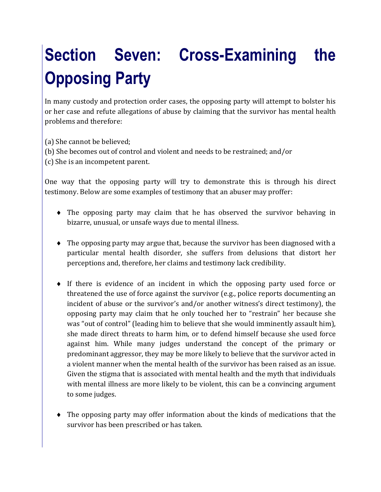# **Section Seven: Cross-Examining the Opposing Party**

In many custody and protection order cases, the opposing party will attempt to bolster his or her case and refute allegations of abuse by claiming that the survivor has mental health problems and therefore:

- (a) She cannot be believed;
- (b) She becomes out of control and violent and needs to be restrained; and/or
- (c) She is an incompetent parent.

One way that the opposing party will try to demonstrate this is through his direct testimony. Below are some examples of testimony that an abuser may proffer:

- The opposing party may claim that he has observed the survivor behaving in bizarre, unusual, or unsafe ways due to mental illness.
- The opposing party may argue that, because the survivor has been diagnosed with a particular mental health disorder, she suffers from delusions that distort her perceptions and, therefore, her claims and testimony lack credibility.
- If there is evidence of an incident in which the opposing party used force or threatened the use of force against the survivor (e.g., police reports documenting an incident of abuse or the survivor's and/or another witness's direct testimony), the opposing party may claim that he only touched her to "restrain" her because she was "out of control" (leading him to believe that she would imminently assault him), she made direct threats to harm him, or to defend himself because she used force against him. While many judges understand the concept of the primary or predominant aggressor, they may be more likely to believe that the survivor acted in a violent manner when the mental health of the survivor has been raised as an issue. Given the stigma that is associated with mental health and the myth that individuals with mental illness are more likely to be violent, this can be a convincing argument to some judges.
- The opposing party may offer information about the kinds of medications that the survivor has been prescribed or has taken.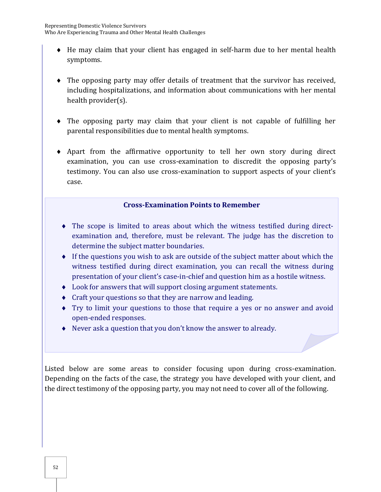- He may claim that your client has engaged in self-harm due to her mental health symptoms.
- The opposing party may offer details of treatment that the survivor has received, including hospitalizations, and information about communications with her mental health provider(s).
- The opposing party may claim that your client is not capable of fulfilling her parental responsibilities due to mental health symptoms.
- Apart from the affirmative opportunity to tell her own story during direct examination, you can use cross-examination to discredit the opposing party's testimony. You can also use cross-examination to support aspects of your client's case.

#### **Cross-Examination Points to Remember**

- The scope is limited to areas about which the witness testified during directexamination and, therefore, must be relevant. The judge has the discretion to determine the subject matter boundaries.
- If the questions you wish to ask are outside of the subject matter about which the witness testified during direct examination, you can recall the witness during presentation of your client's case-in-chief and question him as a hostile witness.
- Look for answers that will support closing argument statements.
- Craft your questions so that they are narrow and leading.
- Try to limit your questions to those that require a yes or no answer and avoid open-ended responses.
- Never ask a question that you don't know the answer to already.

Listed below are some areas to consider focusing upon during cross-examination. Depending on the facts of the case, the strategy you have developed with your client, and the direct testimony of the opposing party, you may not need to cover all of the following.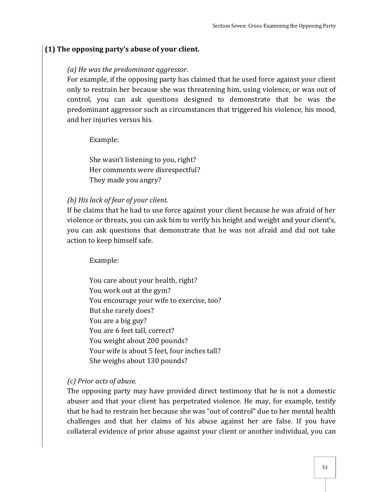#### **(1) The opposing party's abuse of your client.**

#### *(a) He was the predominant aggressor.*

For example, if the opposing party has claimed that he used force against your client only to restrain her because she was threatening him, using violence, or was out of control, you can ask questions designed to demonstrate that he was the predominant aggressor such as circumstances that triggered his violence, his mood, and her injuries versus his.

Example:

She wasn't listening to you, right? Her comments were disrespectful? They made you angry?

#### *(b) His lack of fear of your client.*

If he claims that he had to use force against your client because he was afraid of her violence or threats, you can ask him to verify his height and weight and your client's, you can ask questions that demonstrate that he was not afraid and did not take action to keep himself safe.

Example:

You care about your health, right? You work out at the gym? You encourage your wife to exercise, too? But she rarely does? You are a big guy? You are 6 feet tall, correct? You weight about 200 pounds? Your wife is about 5 feet, four inches tall? She weighs about 130 pounds?

*(c) Prior acts of abuse.* 

The opposing party may have provided direct testimony that he is not a domestic abuser and that your client has perpetrated violence. He may, for example, testify that he had to restrain her because she was "out of control" due to her mental health challenges and that her claims of his abuse against her are false. If you have collateral evidence of prior abuse against your client or another individual, you can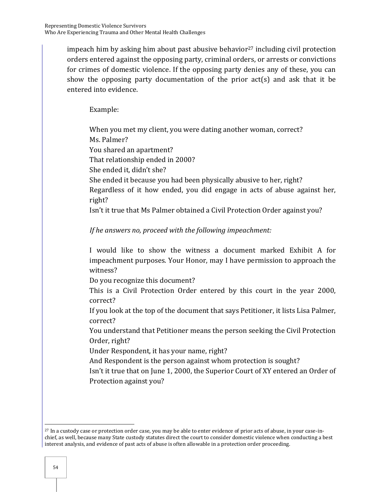impeach him by asking him about past abusive behavior<sup>27</sup> including civil protection orders entered against the opposing party, criminal orders, or arrests or convictions for crimes of domestic violence. If the opposing party denies any of these, you can show the opposing party documentation of the prior act(s) and ask that it be entered into evidence.

Example:

 When you met my client, you were dating another woman, correct? Ms. Palmer? You shared an apartment? That relationship ended in 2000? She ended it, didn't she? She ended it because you had been physically abusive to her, right?

 Regardless of it how ended, you did engage in acts of abuse against her, right?

Isn't it true that Ms Palmer obtained a Civil Protection Order against you?

## *If he answers no, proceed with the following impeachment:*

I would like to show the witness a document marked Exhibit A for impeachment purposes. Your Honor, may I have permission to approach the witness?

Do you recognize this document?

This is a Civil Protection Order entered by this court in the year 2000, correct?

If you look at the top of the document that says Petitioner, it lists Lisa Palmer, correct?

You understand that Petitioner means the person seeking the Civil Protection Order, right?

Under Respondent, it has your name, right?

And Respondent is the person against whom protection is sought?

Isn't it true that on June 1, 2000, the Superior Court of XY entered an Order of Protection against you?

 $\overline{a}$ 

<sup>27</sup> In a custody case or protection order case, you may be able to enter evidence of prior acts of abuse, in your case-inchief, as well, because many State custody statutes direct the court to consider domestic violence when conducting a best interest analysis, and evidence of past acts of abuse is often allowable in a protection order proceeding.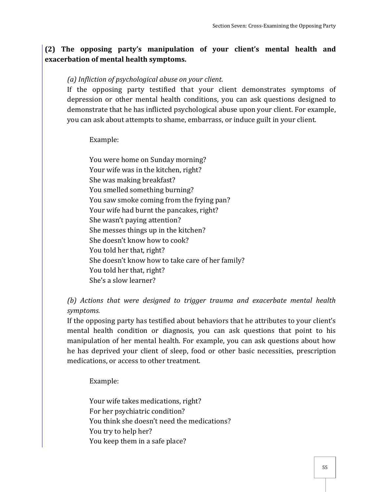## **(2) The opposing party's manipulation of your client's mental health and exacerbation of mental health symptoms.**

#### *(a) Infliction of psychological abuse on your client.*

If the opposing party testified that your client demonstrates symptoms of depression or other mental health conditions, you can ask questions designed to demonstrate that he has inflicted psychological abuse upon your client. For example, you can ask about attempts to shame, embarrass, or induce guilt in your client.

Example:

You were home on Sunday morning? Your wife was in the kitchen, right? She was making breakfast? You smelled something burning? You saw smoke coming from the frying pan? Your wife had burnt the pancakes, right? She wasn't paying attention? She messes things up in the kitchen? She doesn't know how to cook? You told her that, right? She doesn't know how to take care of her family? You told her that, right? She's a slow learner?

## *(b) Actions that were designed to trigger trauma and exacerbate mental health symptoms.*

If the opposing party has testified about behaviors that he attributes to your client's mental health condition or diagnosis, you can ask questions that point to his manipulation of her mental health. For example, you can ask questions about how he has deprived your client of sleep, food or other basic necessities, prescription medications, or access to other treatment.

Example:

Your wife takes medications, right? For her psychiatric condition? You think she doesn't need the medications? You try to help her? You keep them in a safe place?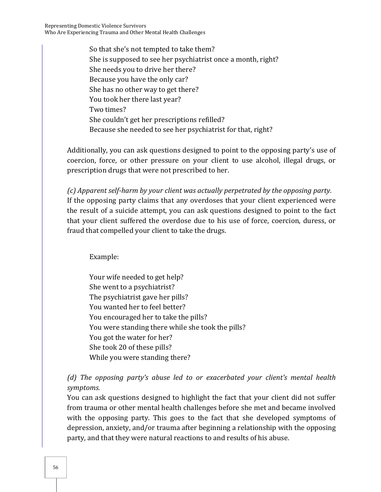So that she's not tempted to take them? She is supposed to see her psychiatrist once a month, right? She needs you to drive her there? Because you have the only car? She has no other way to get there? You took her there last year? Two times? She couldn't get her prescriptions refilled? Because she needed to see her psychiatrist for that, right?

Additionally, you can ask questions designed to point to the opposing party's use of coercion, force, or other pressure on your client to use alcohol, illegal drugs, or prescription drugs that were not prescribed to her.

*(c) Apparent self-harm by your client was actually perpetrated by the opposing party.*  If the opposing party claims that any overdoses that your client experienced were the result of a suicide attempt, you can ask questions designed to point to the fact that your client suffered the overdose due to his use of force, coercion, duress, or fraud that compelled your client to take the drugs.

Example:

Your wife needed to get help? She went to a psychiatrist? The psychiatrist gave her pills? You wanted her to feel better? You encouraged her to take the pills? You were standing there while she took the pills? You got the water for her? She took 20 of these pills? While you were standing there?

*(d) The opposing party's abuse led to or exacerbated your client's mental health symptoms.* 

You can ask questions designed to highlight the fact that your client did not suffer from trauma or other mental health challenges before she met and became involved with the opposing party. This goes to the fact that she developed symptoms of depression, anxiety, and/or trauma after beginning a relationship with the opposing party, and that they were natural reactions to and results of his abuse.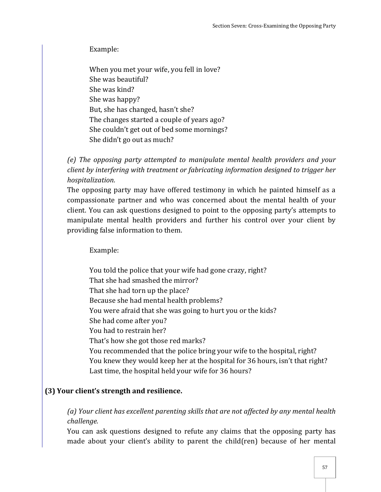Example:

When you met your wife, you fell in love? She was beautiful? She was kind? She was happy? But, she has changed, hasn't she? The changes started a couple of years ago? She couldn't get out of bed some mornings? She didn't go out as much?

*(e) The opposing party attempted to manipulate mental health providers and your client by interfering with treatment or fabricating information designed to trigger her hospitalization.* 

The opposing party may have offered testimony in which he painted himself as a compassionate partner and who was concerned about the mental health of your client. You can ask questions designed to point to the opposing party's attempts to manipulate mental health providers and further his control over your client by providing false information to them.

Example:

 You told the police that your wife had gone crazy, right? That she had smashed the mirror? That she had torn up the place? Because she had mental health problems? You were afraid that she was going to hurt you or the kids? She had come after you? You had to restrain her? That's how she got those red marks? You recommended that the police bring your wife to the hospital, right? You knew they would keep her at the hospital for 36 hours, isn't that right? Last time, the hospital held your wife for 36 hours?

## **(3) Your client's strength and resilience.**

*(a) Your client has excellent parenting skills that are not affected by any mental health challenge.* 

You can ask questions designed to refute any claims that the opposing party has made about your client's ability to parent the child(ren) because of her mental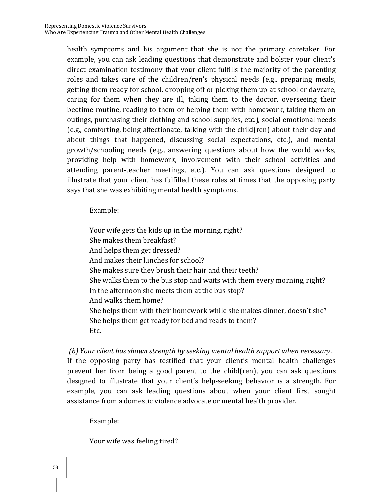health symptoms and his argument that she is not the primary caretaker. For example, you can ask leading questions that demonstrate and bolster your client's direct examination testimony that your client fulfills the majority of the parenting roles and takes care of the children/ren's physical needs (e.g., preparing meals, getting them ready for school, dropping off or picking them up at school or daycare, caring for them when they are ill, taking them to the doctor, overseeing their bedtime routine, reading to them or helping them with homework, taking them on outings, purchasing their clothing and school supplies, etc.), social-emotional needs (e.g., comforting, being affectionate, talking with the child(ren) about their day and about things that happened, discussing social expectations, etc.), and mental growth/schooling needs (e.g., answering questions about how the world works, providing help with homework, involvement with their school activities and attending parent-teacher meetings, etc.). You can ask questions designed to illustrate that your client has fulfilled these roles at times that the opposing party says that she was exhibiting mental health symptoms.

Example:

Your wife gets the kids up in the morning, right? She makes them breakfast? And helps them get dressed? And makes their lunches for school? She makes sure they brush their hair and their teeth? She walks them to the bus stop and waits with them every morning, right? In the afternoon she meets them at the bus stop? And walks them home? She helps them with their homework while she makes dinner, doesn't she? She helps them get ready for bed and reads to them? Etc.

 *(b) Your client has shown strength by seeking mental health support when necessary.*  If the opposing party has testified that your client's mental health challenges prevent her from being a good parent to the child(ren), you can ask questions designed to illustrate that your client's help-seeking behavior is a strength. For example, you can ask leading questions about when your client first sought assistance from a domestic violence advocate or mental health provider.

Example:

Your wife was feeling tired?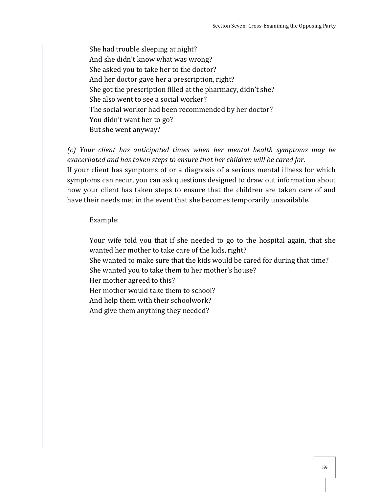She had trouble sleeping at night? And she didn't know what was wrong? She asked you to take her to the doctor? And her doctor gave her a prescription, right? She got the prescription filled at the pharmacy, didn't she? She also went to see a social worker? The social worker had been recommended by her doctor? You didn't want her to go? But she went anyway?

*(c) Your client has anticipated times when her mental health symptoms may be exacerbated and has taken steps to ensure that her children will be cared for.*  If your client has symptoms of or a diagnosis of a serious mental illness for which symptoms can recur, you can ask questions designed to draw out information about how your client has taken steps to ensure that the children are taken care of and have their needs met in the event that she becomes temporarily unavailable.

Example:

 Your wife told you that if she needed to go to the hospital again, that she wanted her mother to take care of the kids, right?

 She wanted to make sure that the kids would be cared for during that time? She wanted you to take them to her mother's house?

Her mother agreed to this?

Her mother would take them to school?

And help them with their schoolwork?

And give them anything they needed?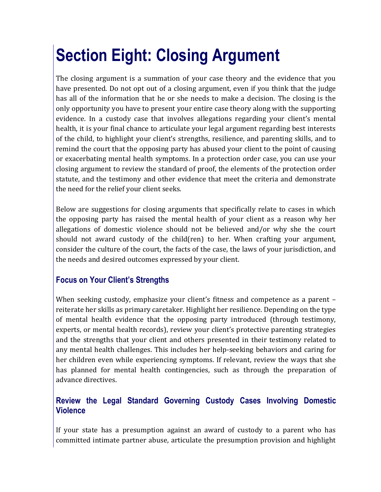# **Section Eight: Closing Argument**

The closing argument is a summation of your case theory and the evidence that you have presented. Do not opt out of a closing argument, even if you think that the judge has all of the information that he or she needs to make a decision. The closing is the only opportunity you have to present your entire case theory along with the supporting evidence. In a custody case that involves allegations regarding your client's mental health, it is your final chance to articulate your legal argument regarding best interests of the child, to highlight your client's strengths, resilience, and parenting skills, and to remind the court that the opposing party has abused your client to the point of causing or exacerbating mental health symptoms. In a protection order case, you can use your closing argument to review the standard of proof, the elements of the protection order statute, and the testimony and other evidence that meet the criteria and demonstrate the need for the relief your client seeks.

Below are suggestions for closing arguments that specifically relate to cases in which the opposing party has raised the mental health of your client as a reason why her allegations of domestic violence should not be believed and/or why she the court should not award custody of the child(ren) to her. When crafting your argument, consider the culture of the court, the facts of the case, the laws of your jurisdiction, and the needs and desired outcomes expressed by your client.

# **Focus on Your Client's Strengths**

When seeking custody, emphasize your client's fitness and competence as a parent – reiterate her skills as primary caretaker. Highlight her resilience. Depending on the type of mental health evidence that the opposing party introduced (through testimony, experts, or mental health records), review your client's protective parenting strategies and the strengths that your client and others presented in their testimony related to any mental health challenges. This includes her help-seeking behaviors and caring for her children even while experiencing symptoms. If relevant, review the ways that she has planned for mental health contingencies, such as through the preparation of advance directives.

# **Review the Legal Standard Governing Custody Cases Involving Domestic Violence**

If your state has a presumption against an award of custody to a parent who has committed intimate partner abuse, articulate the presumption provision and highlight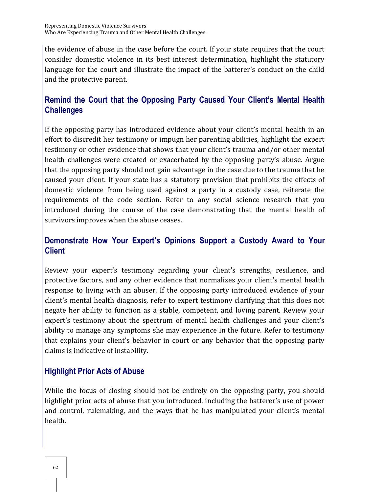the evidence of abuse in the case before the court. If your state requires that the court consider domestic violence in its best interest determination, highlight the statutory language for the court and illustrate the impact of the batterer's conduct on the child and the protective parent.

# **Remind the Court that the Opposing Party Caused Your Client's Mental Health Challenges**

If the opposing party has introduced evidence about your client's mental health in an effort to discredit her testimony or impugn her parenting abilities, highlight the expert testimony or other evidence that shows that your client's trauma and/or other mental health challenges were created or exacerbated by the opposing party's abuse. Argue that the opposing party should not gain advantage in the case due to the trauma that he caused your client. If your state has a statutory provision that prohibits the effects of domestic violence from being used against a party in a custody case, reiterate the requirements of the code section. Refer to any social science research that you introduced during the course of the case demonstrating that the mental health of survivors improves when the abuse ceases.

## **Demonstrate How Your Expert's Opinions Support a Custody Award to Your Client**

Review your expert's testimony regarding your client's strengths, resilience, and protective factors, and any other evidence that normalizes your client's mental health response to living with an abuser. If the opposing party introduced evidence of your client's mental health diagnosis, refer to expert testimony clarifying that this does not negate her ability to function as a stable, competent, and loving parent. Review your expert's testimony about the spectrum of mental health challenges and your client's ability to manage any symptoms she may experience in the future. Refer to testimony that explains your client's behavior in court or any behavior that the opposing party claims is indicative of instability.

## **Highlight Prior Acts of Abuse**

While the focus of closing should not be entirely on the opposing party, you should highlight prior acts of abuse that you introduced, including the batterer's use of power and control, rulemaking, and the ways that he has manipulated your client's mental health.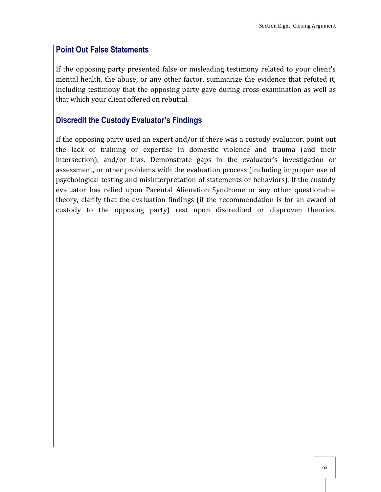## **Point Out False Statements**

If the opposing party presented false or misleading testimony related to your client's mental health, the abuse, or any other factor, summarize the evidence that refuted it, including testimony that the opposing party gave during cross-examination as well as that which your client offered on rebuttal.

## **Discredit the Custody Evaluator's Findings**

If the opposing party used an expert and/or if there was a custody evaluator, point out the lack of training or expertise in domestic violence and trauma (and their intersection), and/or bias. Demonstrate gaps in the evaluator's investigation or assessment, or other problems with the evaluation process (including improper use of psychological testing and misinterpretation of statements or behaviors). If the custody evaluator has relied upon Parental Alienation Syndrome or any other questionable theory, clarify that the evaluation findings (if the recommendation is for an award of custody to the opposing party) rest upon discredited or disproven theories.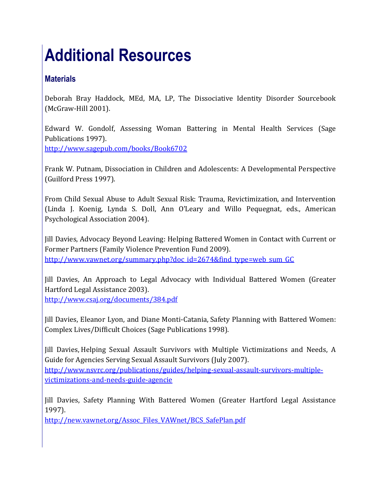# **Additional Resources**

# **Materials**

Deborah Bray Haddock, MEd, MA, LP, The Dissociative Identity Disorder Sourcebook (McGraw-Hill 2001).

Edward W. Gondolf, Assessing Woman Battering in Mental Health Services (Sage Publications 1997).

<http://www.sagepub.com/books/Book6702>

Frank W. Putnam, Dissociation in Children and Adolescents: A Developmental Perspective (Guilford Press 1997).

From Child Sexual Abuse to Adult Sexual Risk: Trauma, Revictimization, and Intervention (Linda J. Koenig, Lynda S. Doll, Ann O'Leary and Willo Pequegnat, eds., American Psychological Association 2004).

Jill Davies, Advocacy Beyond Leaving: Helping Battered Women in Contact with Current or Former Partners (Family Violence Prevention Fund 2009). [http://www.vawnet.org/summary.php?doc\\_id=2674&find\\_type=web\\_sum\\_GC](http://www.vawnet.org/summary.php?doc_id=2674&find_type=web_sum_GC)

Jill Davies, An Approach to Legal Advocacy with Individual Battered Women (Greater Hartford Legal Assistance 2003). <http://www.csaj.org/documents/384.pdf>

Jill Davies, Eleanor Lyon, and Diane Monti-Catania, Safety Planning with Battered Women: Complex Lives/Difficult Choices (Sage Publications 1998).

Jill Davies, Helping Sexual Assault Survivors with Multiple Victimizations and Needs, A Guide for Agencies Serving Sexual Assault Survivors (July 2007). [http://www.nsvrc.org/publications/guides/helping-sexual-assault-survivors-multiple](http://www.nsvrc.org/publications/guides/helping-sexual-assault-survivors-multiple-victimizations-and-needs-guide-agencie)[victimizations-and-needs-guide-agencie](http://www.nsvrc.org/publications/guides/helping-sexual-assault-survivors-multiple-victimizations-and-needs-guide-agencie)

Jill Davies, Safety Planning With Battered Women (Greater Hartford Legal Assistance 1997).

[http://new.vawnet.org/Assoc\\_Files\\_VAWnet/BCS\\_SafePlan.pdf](http://new.vawnet.org/Assoc_Files_VAWnet/BCS_SafePlan.pdf)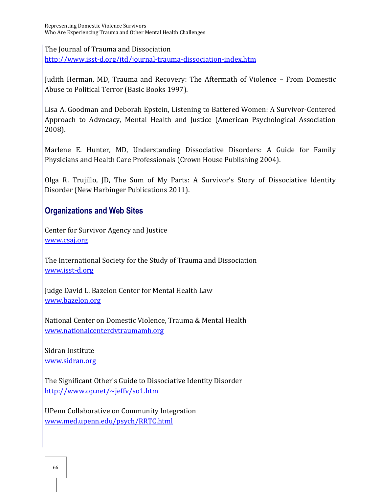The Journal of Trauma and Dissociation

<http://www.isst-d.org/jtd/journal-trauma-dissociation-index.htm>

Judith Herman, MD, Trauma and Recovery: The Aftermath of Violence – From Domestic Abuse to Political Terror (Basic Books 1997).

Lisa A. Goodman and Deborah Epstein, Listening to Battered Women: A Survivor-Centered Approach to Advocacy, Mental Health and Justice (American Psychological Association 2008).

Marlene E. Hunter, MD, Understanding Dissociative Disorders: A Guide for Family Physicians and Health Care Professionals (Crown House Publishing 2004).

Olga R. Trujillo, JD, The Sum of My Parts: A Survivor's Story of Dissociative Identity Disorder (New Harbinger Publications 2011).

#### **Organizations and Web Sites**

Center for Survivor Agency and Justice [www.csaj.org](http://www.csaj.org/)

The International Society for the Study of Trauma and Dissociation [www.isst-d.org](http://www.isst-d.org/)

Judge David L. Bazelon Center for Mental Health Law [www.bazelon.org](http://www.bazelon.org/)

National Center on Domestic Violence, Trauma & Mental Health [www.nationalcenterdvtraumamh.org](http://www.nationalcenterdvtraumamh.org/)

Sidran Institute [www.sidran.org](http://www.sidran.org/)

The Significant Other's Guide to Dissociative Identity Disorder <http://www.op.net/~jeffv/so1.htm>

UPenn Collaborative on Community Integration [www.med.upenn.edu/psych/RRTC.html](http://www.med.upenn.edu/psych/RRTC.html)